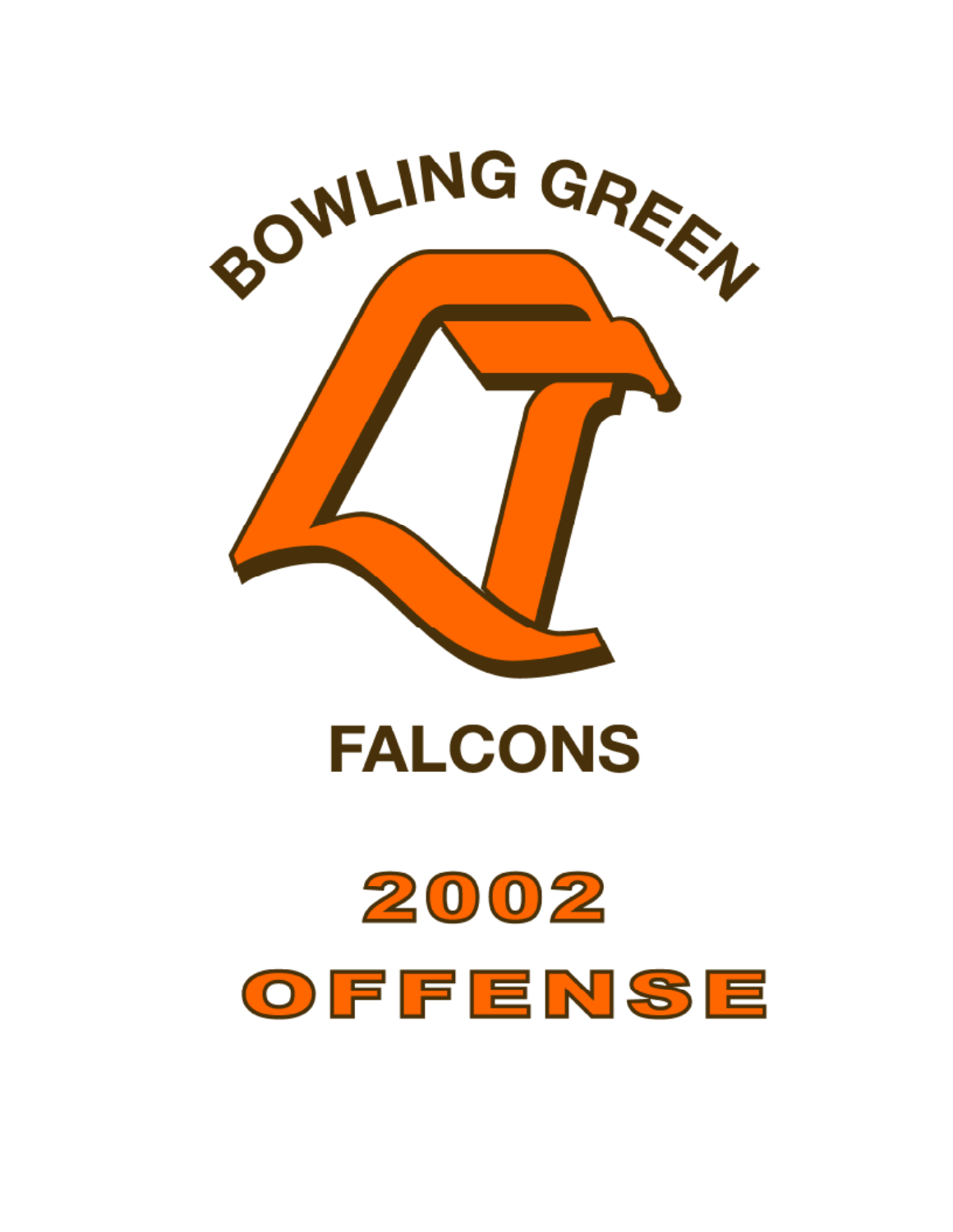

**FALCONS** 

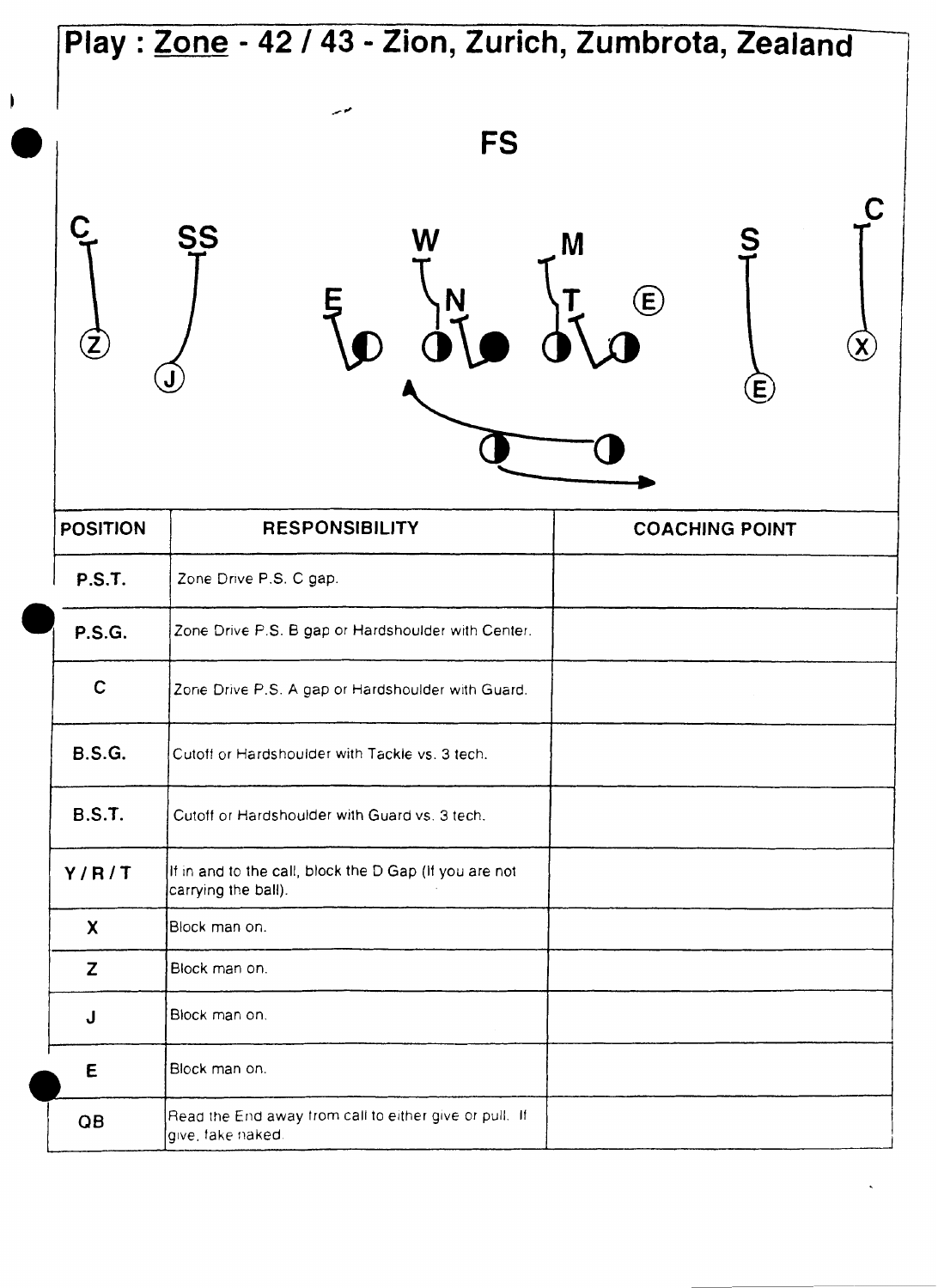|                                  | Play: Zone - 42 / 43 - Zion, Zurich, Zumbrota, Zealand                        |                                 |
|----------------------------------|-------------------------------------------------------------------------------|---------------------------------|
|                                  | موسر<br><b>FS</b>                                                             |                                 |
| $\Large \textcircled{\small{z}}$ | <b>SS</b>                                                                     | M<br>$\bigoplus$<br>$\bf \bf E$ |
| <b>POSITION</b>                  | <b>RESPONSIBILITY</b>                                                         | <b>COACHING POINT</b>           |
| <b>P.S.T.</b>                    | Zone Drive P.S. C gap.                                                        |                                 |
| <b>P.S.G.</b>                    | Zone Drive P.S. B gap or Hardshoulder with Center.                            |                                 |
| $\mathbf C$                      | Zone Drive P.S. A gap or Hardshoulder with Guard.                             |                                 |
| <b>B.S.G.</b>                    | Cutoff or Hardshoulder with Tackle vs. 3 tech.                                |                                 |
| <b>B.S.T.</b>                    | Cutoff or Hardshoulder with Guard vs. 3 tech.                                 |                                 |
| Y/R/T                            | If in and to the call, block the D Gap (If you are not<br>carrying the ball). |                                 |
| X                                | Block man on.                                                                 |                                 |
| Z                                | Block man on.                                                                 |                                 |
| J                                | Block man on.                                                                 |                                 |
| E                                | Block man on.                                                                 |                                 |
|                                  | Read the End away from call to either give or pull. If                        |                                 |

**I**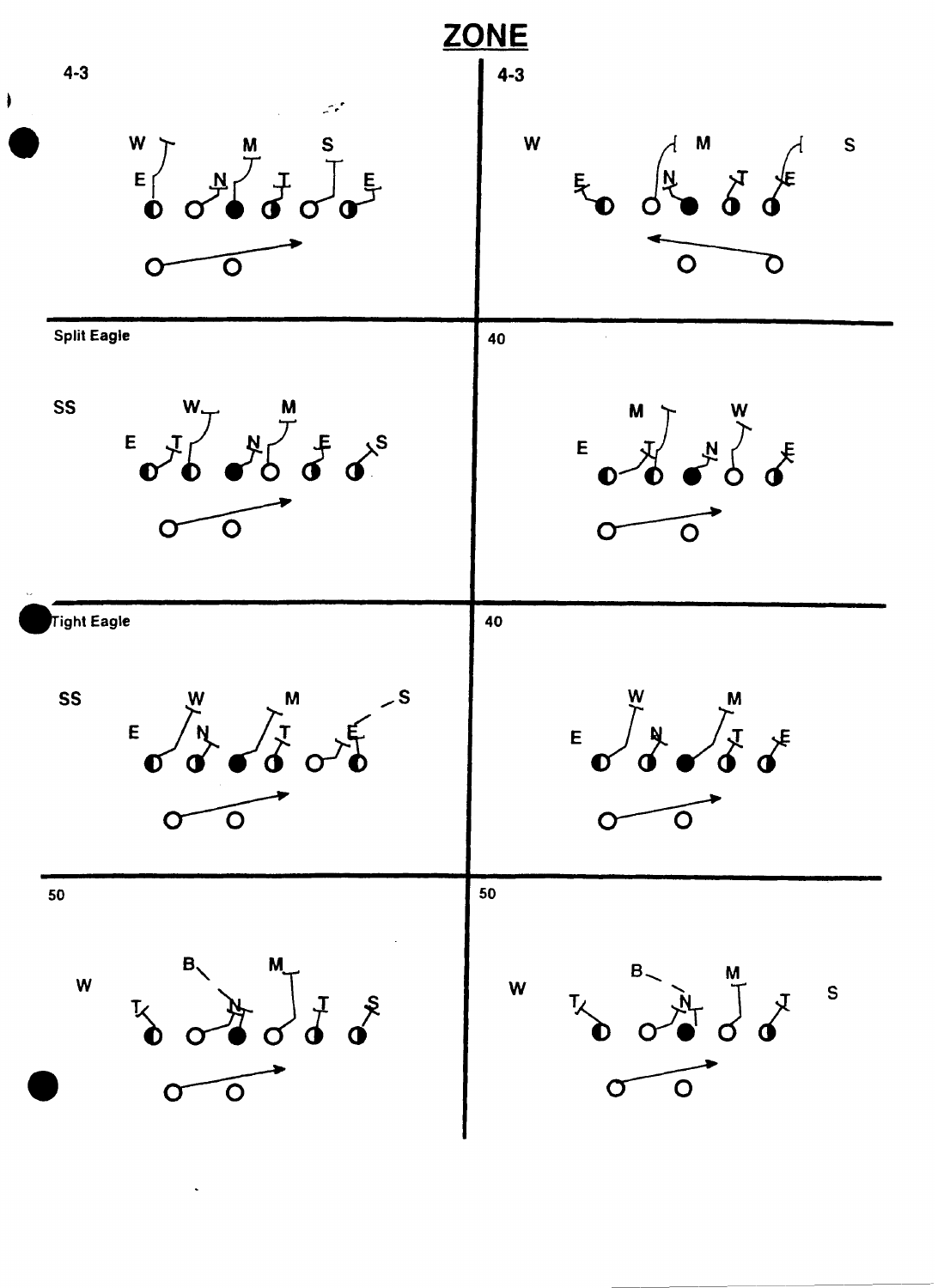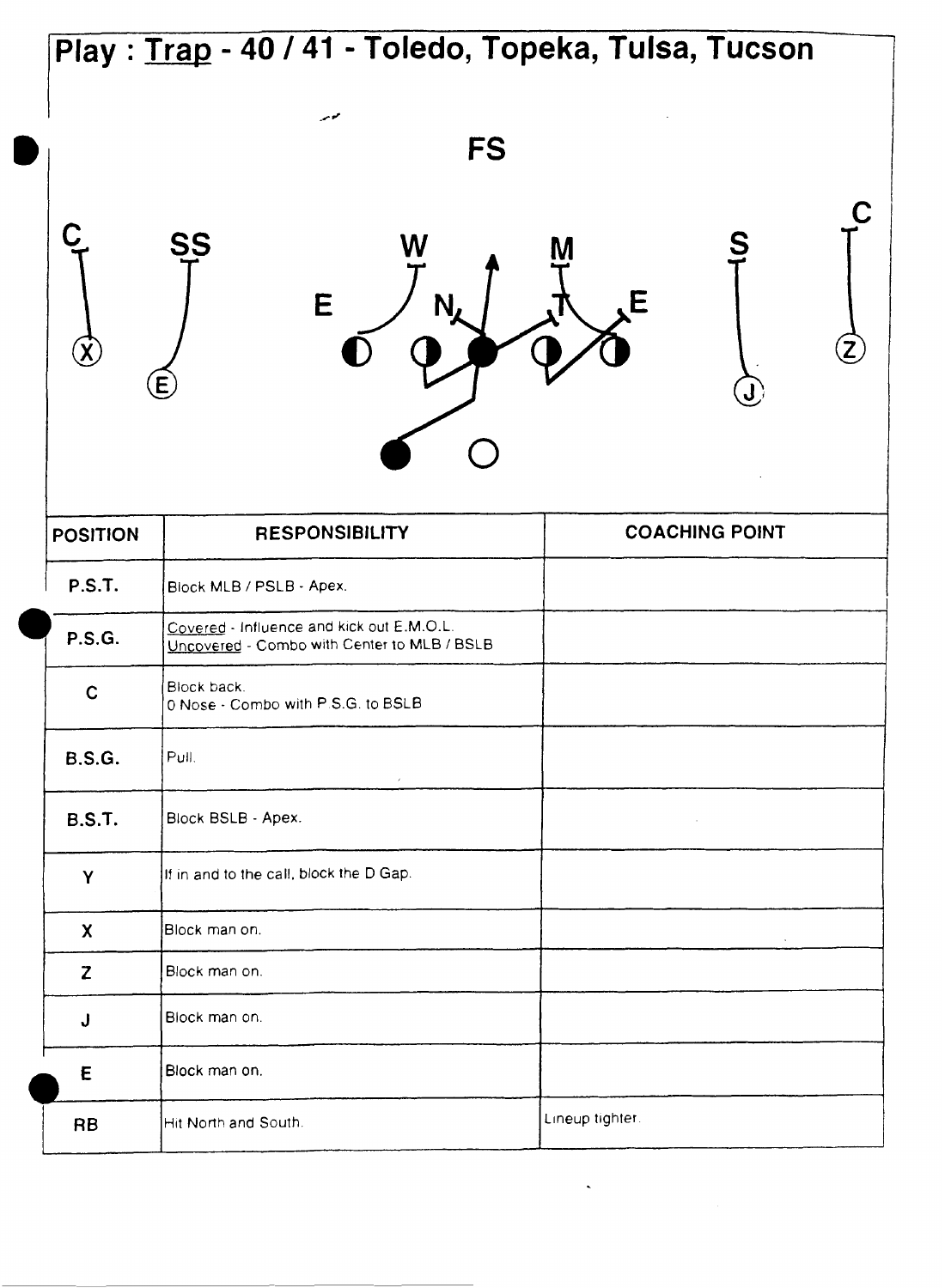## **Play** : **Trap** - **40** / **41** - **Toledo, Topeka, Tulsa, Tucson**  موس **FS** C SS E F **POSITION RESPONSIBILITY COACHING POINT P.S.T. P.S.T.** Block MLB / PSLB - Apex.<br>
<u>Covered</u> - Influence and kick out E.M.O.L.<br>
<u>Uncovered</u> - Combo with Center to MLB / BSLB<br> **C.** Block back. Block back. 0 Nose - Combo with P.S.G. to BSLB **B.S.G.** Pull. **B.S.T.** Block BSLB - **Apex.**  If in and to the call, block the D Gap.  $\mathsf{Y}$ Block man on.  $\boldsymbol{\mathsf{X}}$ Z Block man on. Block man on.<br>Block man on.<br>Block man on.<br>Hit North and S Block man on. J E Block man on. Lineup tighter. Hit North and South. **RB**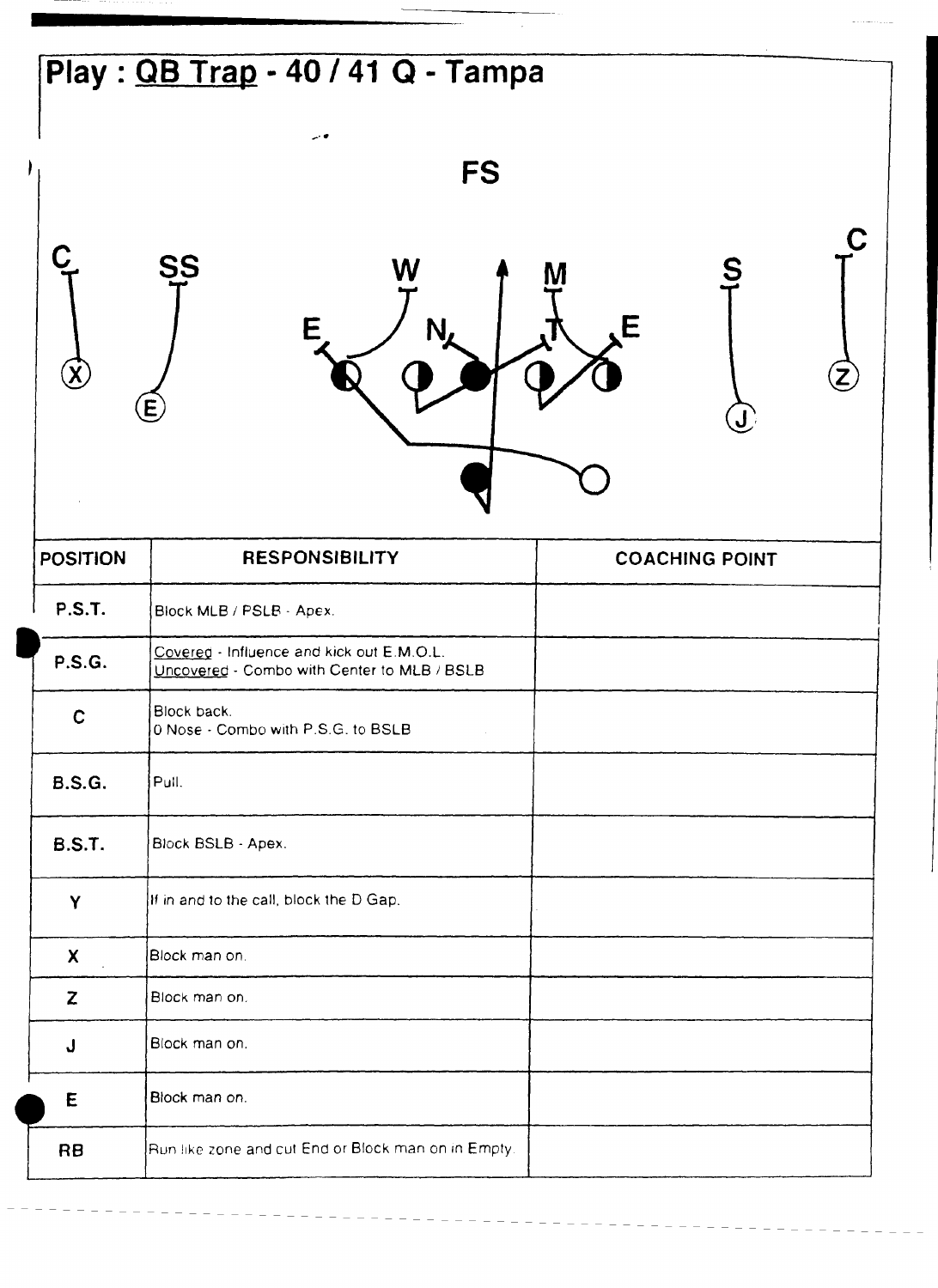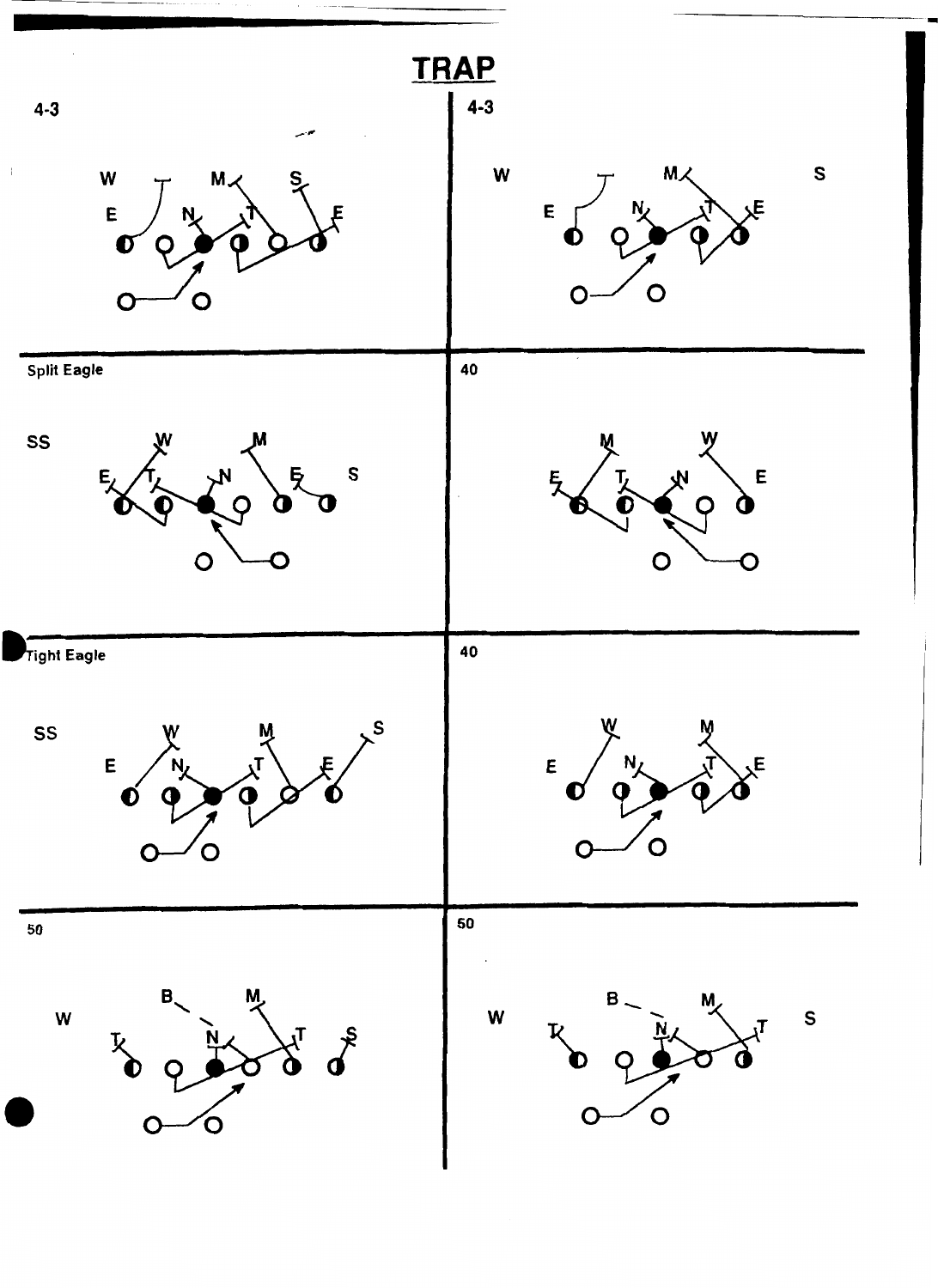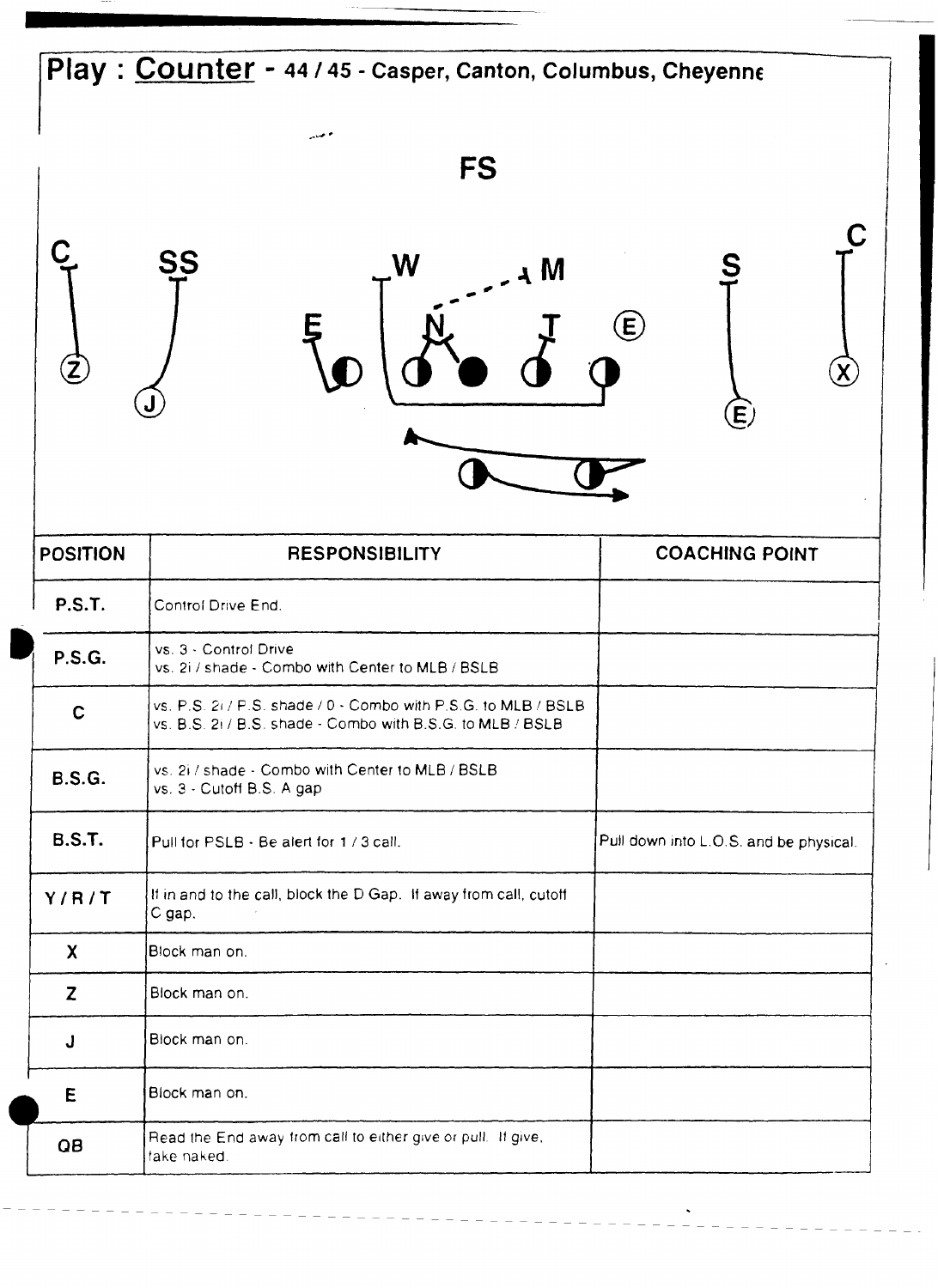## **Play** : **Counter** - **44 145** - **Casper, Canton, Columbus, Cheyenne FS** C SS W N A  $\bigoplus$ Ę  $\cal{\widetilde{Z}}$  $\widehat{\mathbf{X}}$  $\widehat{\mathsf{E}}$ **POSITION** RESPONSIBILITY **COACHING POINT**

| <b>P.S.T.</b> | Control Drive End.                                                                                                           |                                        |
|---------------|------------------------------------------------------------------------------------------------------------------------------|----------------------------------------|
| <b>P.S.G.</b> | vs. 3 - Control Drive<br>vs. 2i / shade - Combo with Center to MLB / BSLB                                                    |                                        |
| $\mathbf C$   | vs. P.S. 2i / P.S. shade / 0 - Combo with P.S.G. to MLB / BSLB<br>vs. B.S. 2i / B.S. shade - Combo with B.S.G. to MLB / BSLB |                                        |
| <b>B.S.G.</b> | vs. 2i / shade - Combo with Center to MLB / BSLB<br>vs. 3 - Cutoff B.S. A gap                                                |                                        |
| <b>B.S.T.</b> | Pull for PSLB - Be alert for 1 / 3 call.                                                                                     | Pull down into L.O.S. and be physical. |
| Y/R/T         | If in and to the call, block the D Gap. If away from call, cutoff<br>C gap.                                                  |                                        |
| X             | Block man on.                                                                                                                |                                        |
| Z             | Block man on.                                                                                                                |                                        |
| J.            | Block man on.                                                                                                                |                                        |
| E             | Block man on.                                                                                                                |                                        |
| QB            | Read the End away from call to either give or pull. If give,<br>take naked.                                                  |                                        |

 $\hat{\phantom{a}}$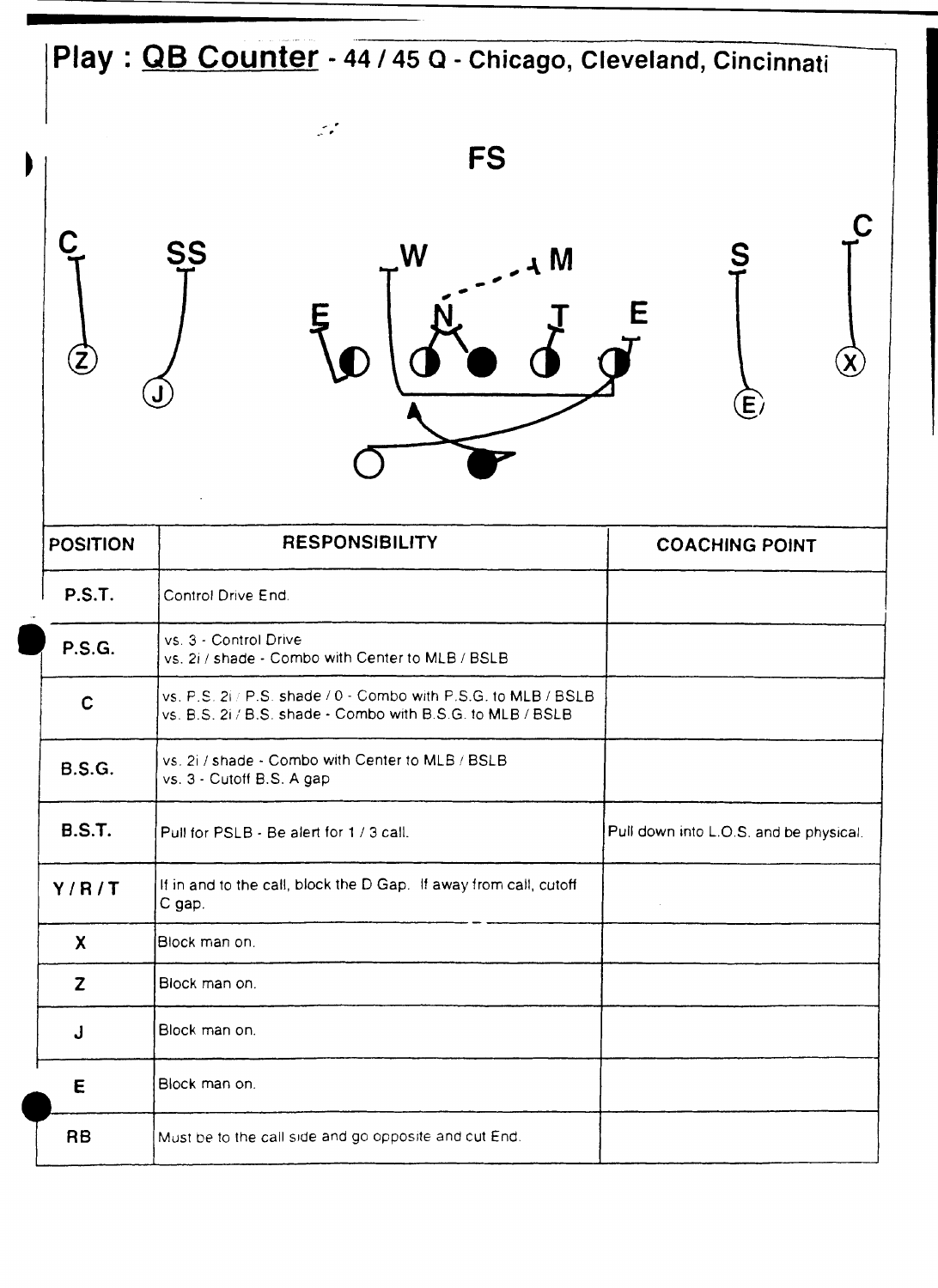## **Play** : **QB Counter** - 44 **145 Q** - **Chicago, Cleveland, Cincinnati**

W

-.

Ę

SS

Ć

| 4 M | S           |
|-----|-------------|
| E   |             |
|     | $\bigoplus$ |

 $\chi$ 

| <b>POSITION</b> | <b>RESPONSIBILITY</b>                                                                                                        | <b>COACHING POINT</b>                  |
|-----------------|------------------------------------------------------------------------------------------------------------------------------|----------------------------------------|
| <b>P.S.T.</b>   | Control Drive End.                                                                                                           |                                        |
| <b>P.S.G.</b>   | vs. 3 - Control Drive<br>vs. 2i / shade - Combo with Center to MLB / BSLB                                                    |                                        |
| $\mathbf C$     | vs. P.S. 2i / P.S. shade / 0 - Combo with P.S.G. to MLB / BSLB<br>vs. B.S. 2i / B.S. shade - Combo with B.S.G. to MLB / BSLB |                                        |
| <b>B.S.G.</b>   | vs. 2i / shade - Combo with Center to MLB / BSLB<br>vs. 3 - Cutoff B.S. A gap                                                |                                        |
| <b>B.S.T.</b>   | Pull for PSLB - Be alert for 1 / 3 call.                                                                                     | Pull down into L.O.S. and be physical. |
| Y/R/T           | If in and to the call, block the D Gap. If away from call, cutoff<br>C gap.                                                  |                                        |
| $\mathbf{x}$    | lBlock man on.                                                                                                               |                                        |
| Z               | Block man on.                                                                                                                |                                        |
| J               | Block man on.                                                                                                                |                                        |
| E               | Block man on.                                                                                                                |                                        |
| <b>RB</b>       | Must be to the call side and go opposite and cut End.                                                                        |                                        |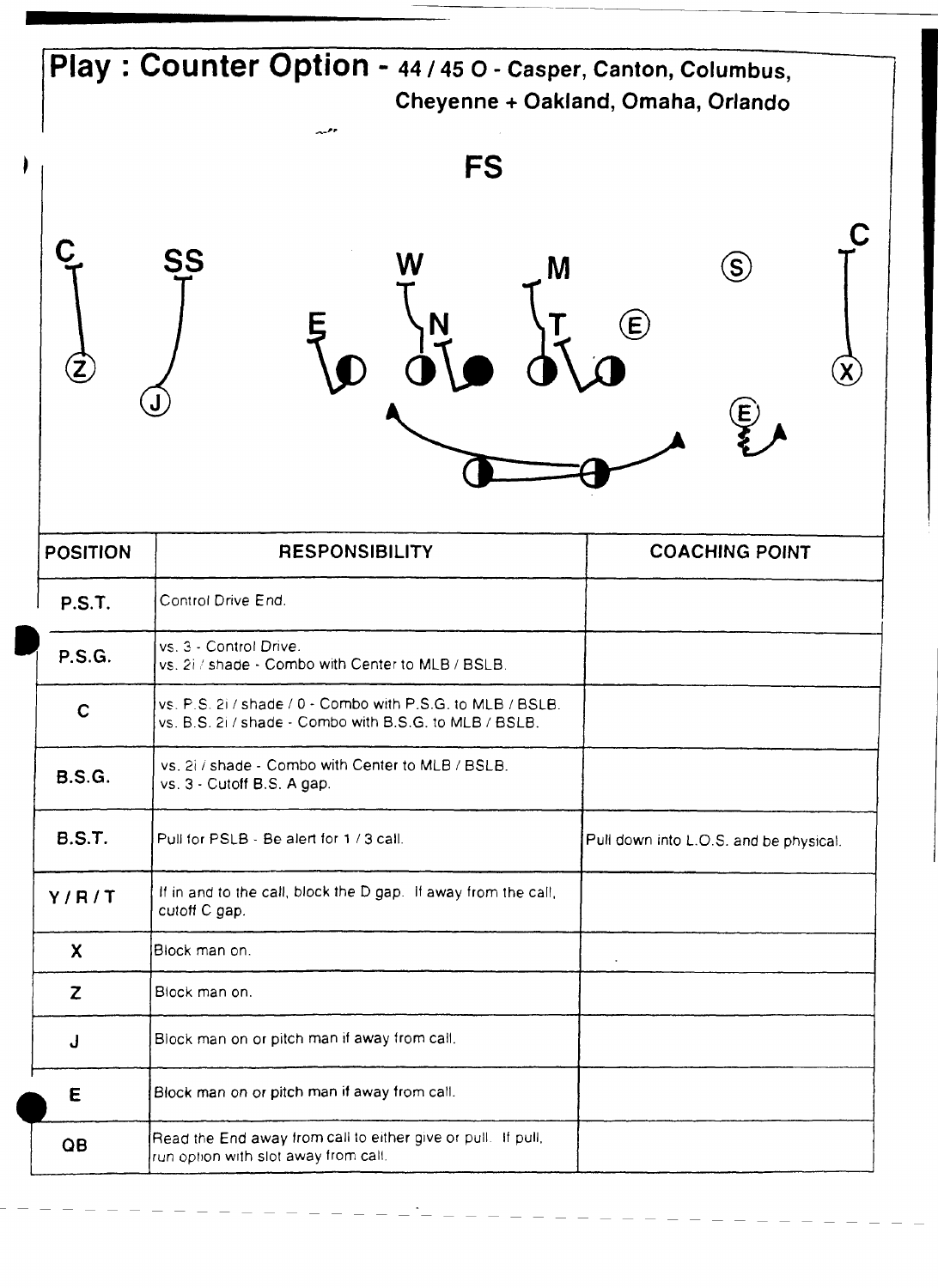|                   | Play: Counter Option - 44 / 45 O - Casper, Canton, Columbus,                                                         | Cheyenne + Oakland, Omaha, Orlando                         |
|-------------------|----------------------------------------------------------------------------------------------------------------------|------------------------------------------------------------|
|                   | معرر<br>FS                                                                                                           |                                                            |
| $\left( 2\right)$ | <b>SS</b><br>W<br>M                                                                                                  | $\hat{S}$<br>$\mathbf \Theta$<br>$\boldsymbol{\mathsf{E}}$ |
| <b>POSITION</b>   | <b>RESPONSIBILITY</b>                                                                                                | <b>COACHING POINT</b>                                      |
| <b>P.S.T.</b>     | Control Drive End.                                                                                                   |                                                            |
| <b>P.S.G.</b>     | vs. 3 - Control Drive.<br>vs. 2i / shade - Combo with Center to MLB / BSLB.                                          |                                                            |
| $\mathbf C$       | vs. P.S. 2i / shade / 0 - Combo with P.S.G. to MLB / BSLB.<br>vs. B.S. 2i / shade - Combo with B.S.G. to MLB / BSLB. |                                                            |
| <b>B.S.G.</b>     | vs. 2i / shade - Combo with Center to MLB / BSLB.<br>vs. 3 - Cutoff B.S. A gap.                                      |                                                            |
| <b>B.S.T.</b>     | Pull for PSLB - Be alert for 1 / 3 call.                                                                             | Pull down into L.O.S. and be physical.                     |
| Y/R/T             | If in and to the call, block the D gap. If away from the call,<br>cutoff C gap.                                      |                                                            |
| $\boldsymbol{X}$  | Block man on.                                                                                                        | $\bullet$                                                  |
| Z                 | Block man on.                                                                                                        |                                                            |
| J                 | Block man on or pitch man if away from call.                                                                         |                                                            |
| Ε                 | Block man on or pitch man if away from call.                                                                         |                                                            |
|                   |                                                                                                                      |                                                            |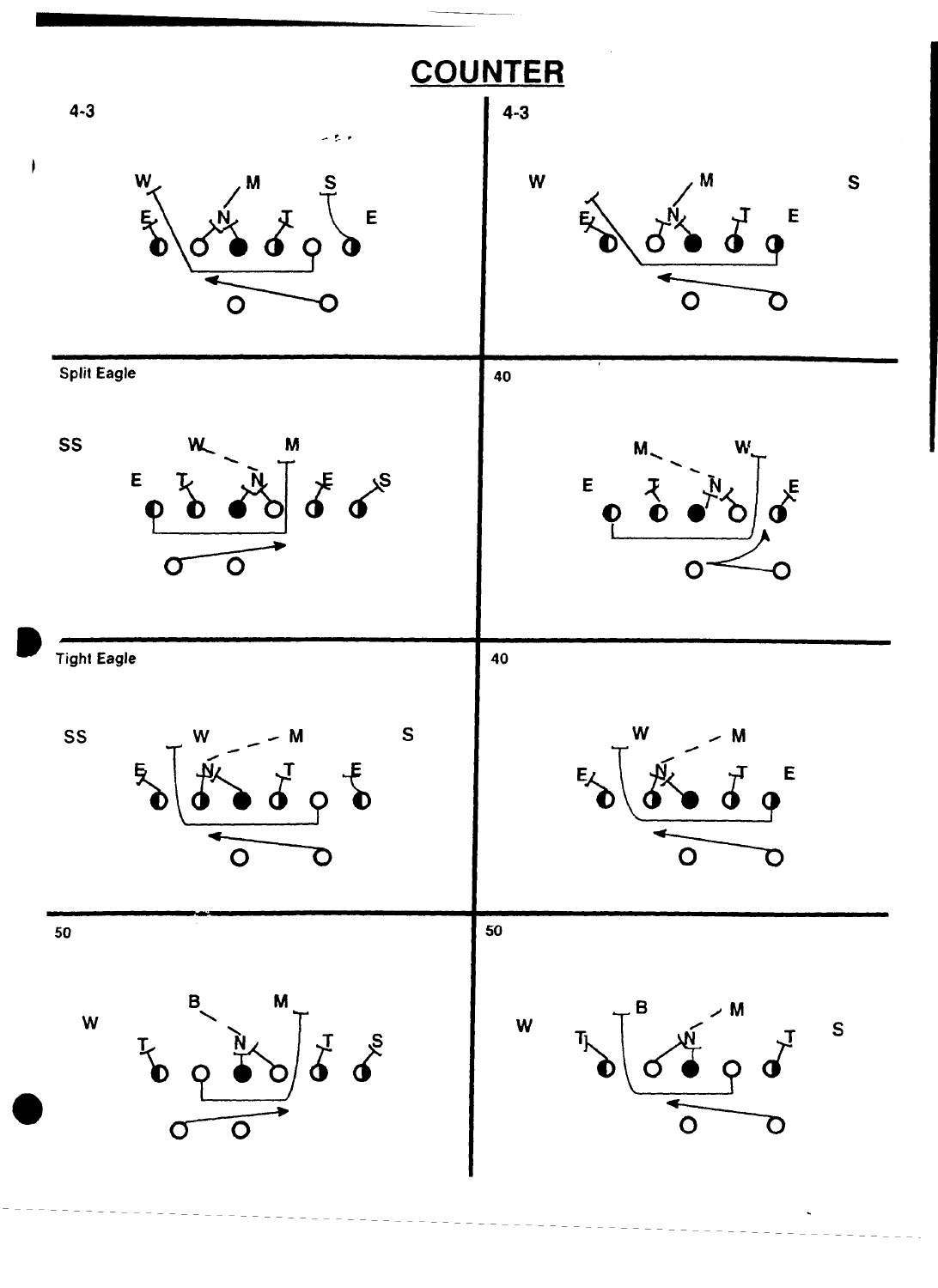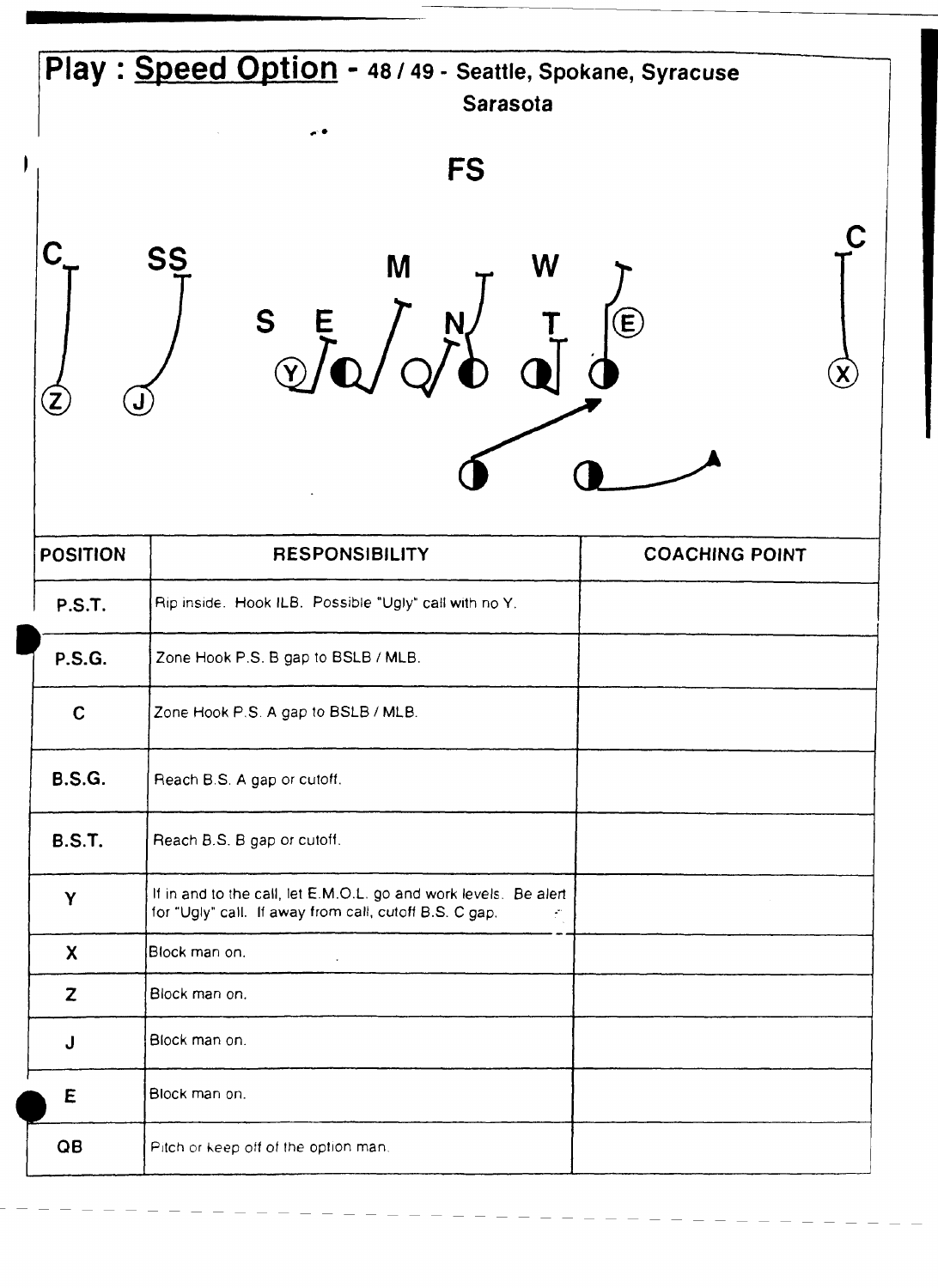|                 | Play: Speed Option - 48 / 49 - Seattle, Spokane, Syracuse<br>Sarasota<br><b>FS</b><br><b>SS</b><br>M<br>W<br>S t                 | $\bigcirc$            |
|-----------------|----------------------------------------------------------------------------------------------------------------------------------|-----------------------|
| <b>POSITION</b> | <b>RESPONSIBILITY</b>                                                                                                            | <b>COACHING POINT</b> |
| <b>P.S.T.</b>   | Rip inside. Hook ILB. Possible "Ugly" call with no Y.                                                                            |                       |
| <b>P.S.G.</b>   | Zone Hook P.S. B gap to BSLB / MLB.                                                                                              |                       |
| $\mathbf C$     | Zone Hook P.S. A gap to BSLB / MLB.                                                                                              |                       |
| <b>B.S.G.</b>   | Reach B.S. A gap or cutoff.                                                                                                      |                       |
| <b>B.S.T.</b>   | Reach B.S. B gap or cutoff.                                                                                                      |                       |
| Y               | If in and to the call, let E.M.O.L. go and work levels. Be alert<br>for "Ugly" call. If away from call, cutoff B.S. C gap.<br>Ť. | $\sim$                |
| X               | Block man on.<br>$\lambda$                                                                                                       |                       |
| Z               | Block man on.                                                                                                                    |                       |
| J               | Block man on.                                                                                                                    |                       |
| E               | Block man on.                                                                                                                    |                       |
| QB              | Pitch or keep off of the option man.                                                                                             |                       |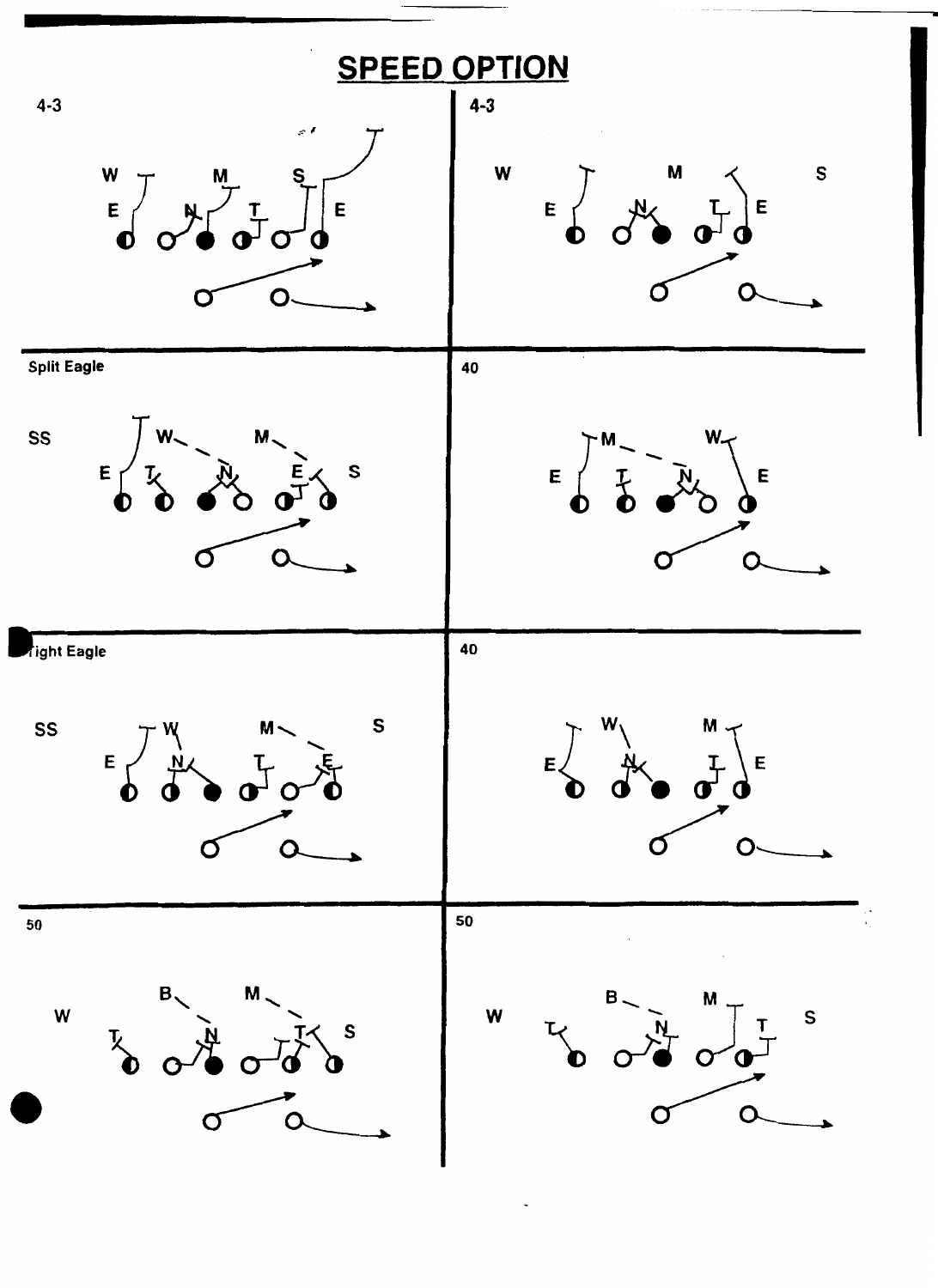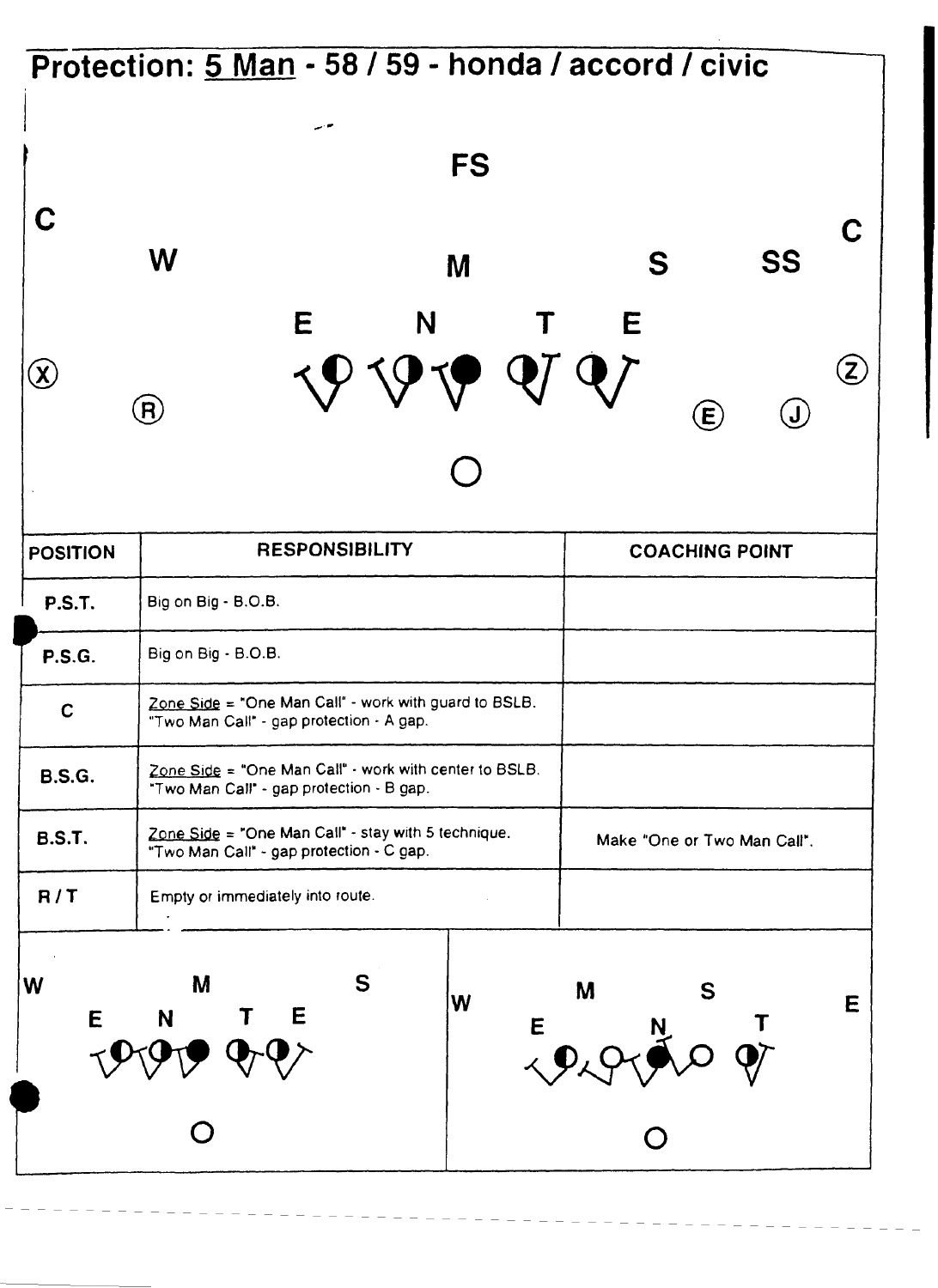# - **Protection: 5 Man** - **58** / **59** - **honda** / **accord** / **civic**



| <b>POSITION</b> | <b>RESPONSIBILITY</b>                                                                              |   | <b>COACHING POINT</b>       |
|-----------------|----------------------------------------------------------------------------------------------------|---|-----------------------------|
| <b>P.S.T.</b>   | Big on Big - B.O.B.                                                                                |   |                             |
| <b>P.S.G.</b>   | Big on Big - B.O.B.                                                                                |   |                             |
| $\mathbf C$     | Zone Side = "One Man Call" - work with guard to BSLB.<br>"Two Man Call" - gap protection - A gap.  |   |                             |
| <b>B.S.G.</b>   | Zone Side = "One Man Call" - work with center to BSLB.<br>"Two Man Call" - gap protection - B gap. |   |                             |
| <b>B.S.T.</b>   | Zone Side = "One Man Call" - stay with 5 technique.<br>"Two Man Call" - gap protection - C gap.    |   | Make "One or Two Man Call". |
| R/T             | Empty or immediately into route.                                                                   |   |                             |
| W<br>E          | S<br>M<br>W<br>E<br>N                                                                              | E | M<br>S                      |
|                 |                                                                                                    |   |                             |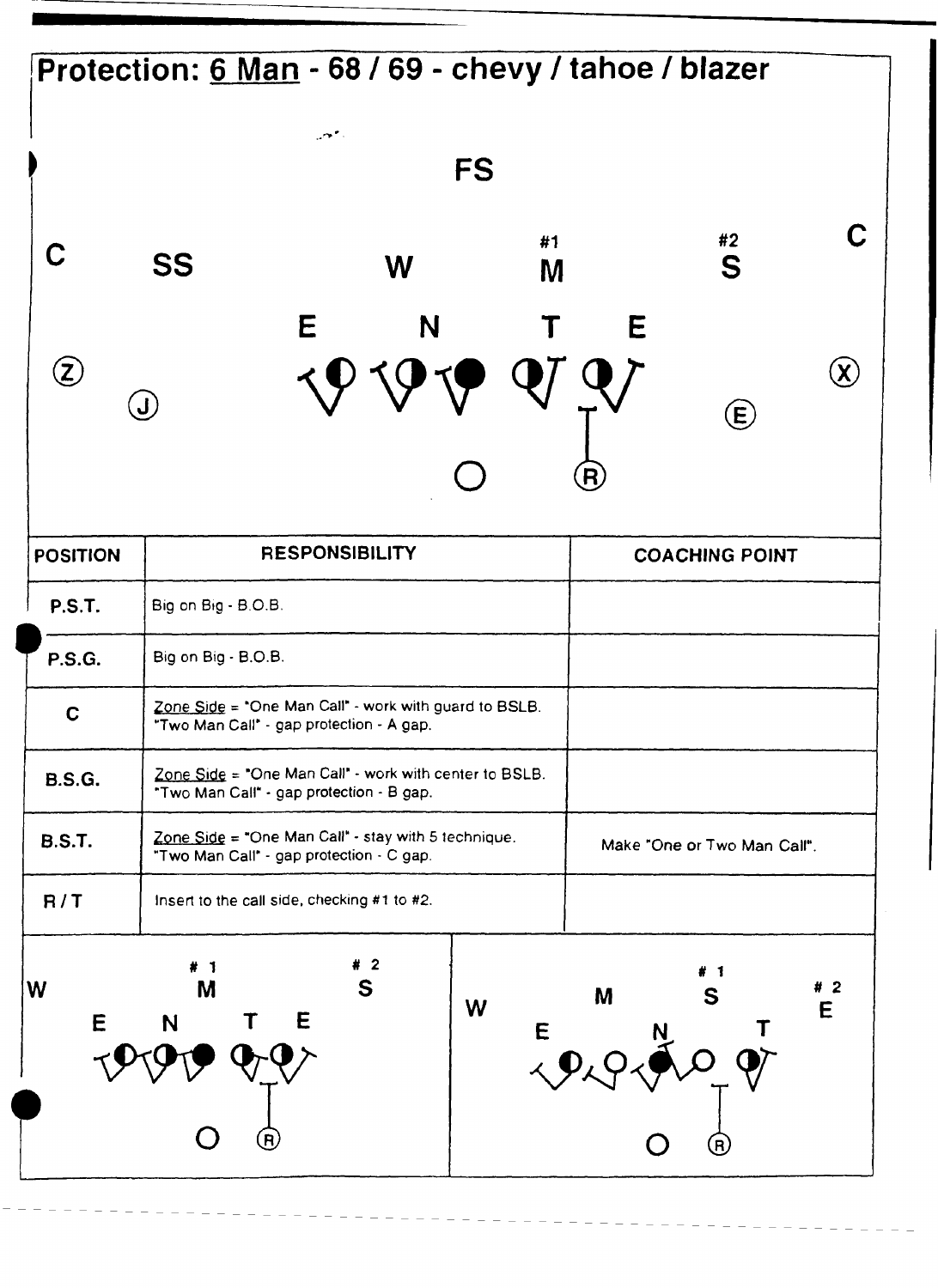#### Protection: 6 Man - 68 / 69 - chevy / tahoe / blazer مهير **FS** C #1  $#2$ C S **SS** W M E N E  $\circledz$  $\left(\lambda\right)$  $\left(\textbf{J}\right)$  $\bigoplus$ **RESPONSIBILITY ~OSITION COACHING POINT P.S.T.**  Big on **Ehg** - B.O.B. **b P.S.G.**  Big on Big - B.O.B. Zone Side = "One Man Call" - work with guard to BSLB.  $\mathbf C$ "Two Man Call' - gap protection - **A** gap. Zone Side = "One Man Call" - work with center to BSLB. **B.S.G.**  "Two Man Call' - gap protection - B gap. ~~ Zone Side = "One Man Call" - stay with 5 technique. **B.S.T.**  Make "One **or** Two Man Call". "Two Man Call" - gap protection - C gap. **R/T**  Insert to the call side, checking **#1** to #2.  $#2$ # 1 W M S  $#2$ S M W E. E E Т E.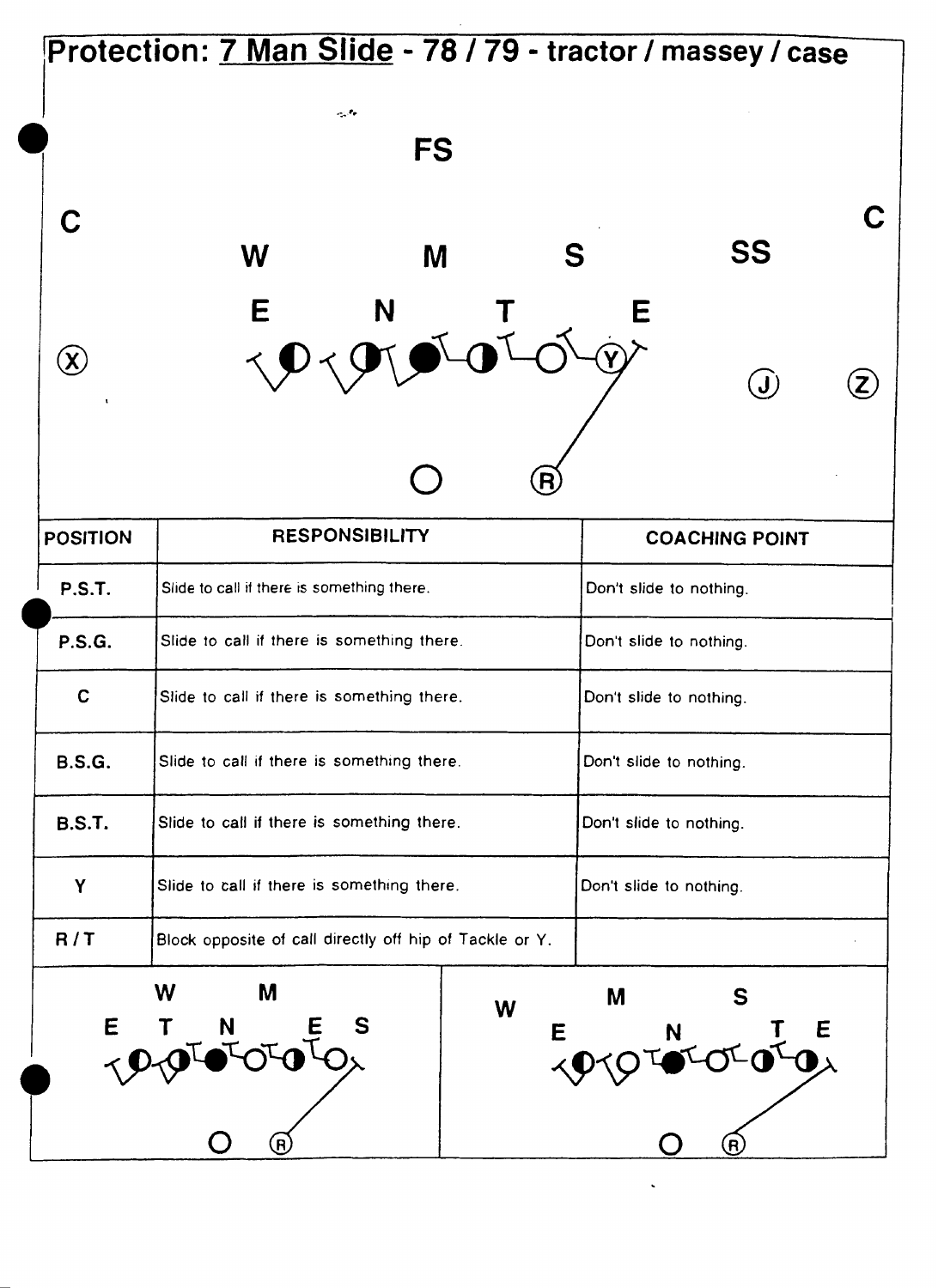|                             | Protection: 7 Man Slide - 78 / 79 - tractor / massey / case |           |                         |                           |  |
|-----------------------------|-------------------------------------------------------------|-----------|-------------------------|---------------------------|--|
|                             | $\sim 10$                                                   |           |                         |                           |  |
|                             |                                                             | <b>FS</b> |                         |                           |  |
| C                           |                                                             |           |                         |                           |  |
|                             | W                                                           | M         | S                       | <b>SS</b>                 |  |
|                             | E                                                           | N         |                         |                           |  |
| $(\boldsymbol{\mathsf{X}})$ | $\prec$                                                     |           |                         | $\left(\mathbf{J}\right)$ |  |
|                             |                                                             |           |                         |                           |  |
|                             |                                                             |           | $\overline{\mathsf{R}}$ |                           |  |
| <b>POSITION</b>             | <b>RESPONSIBILITY</b>                                       |           |                         | <b>COACHING POINT</b>     |  |
| <b>P.S.T.</b>               | Slide to call if there is something there.                  |           |                         | Don't slide to nothing.   |  |
| <b>P.S.G.</b>               | Slide to call if there is something there.                  |           |                         | Don't slide to nothing.   |  |
| C                           | Slide to call if there is something there.                  |           |                         | Don't slide to nothing.   |  |
| <b>B.S.G.</b>               | Slide to call if there is something there.                  |           |                         | Don't slide to nothing.   |  |
| <b>B.S.T.</b>               | Slide to call if there is something there.                  |           |                         | Don't slide to nothing.   |  |
| Y                           | Slide to call if there is something there.                  |           |                         | Don't slide to nothing.   |  |
| R/T                         | Block opposite of call directly off hip of Tackle or Y.     |           |                         |                           |  |
|                             | W<br>M                                                      |           | M<br>W                  | S.                        |  |
| E                           | S<br>N                                                      |           | E                       | T E<br>IOX<br>N.          |  |
|                             |                                                             |           |                         |                           |  |
|                             | $\bf{(}$ R $\bf{)}$                                         |           |                         | (R                        |  |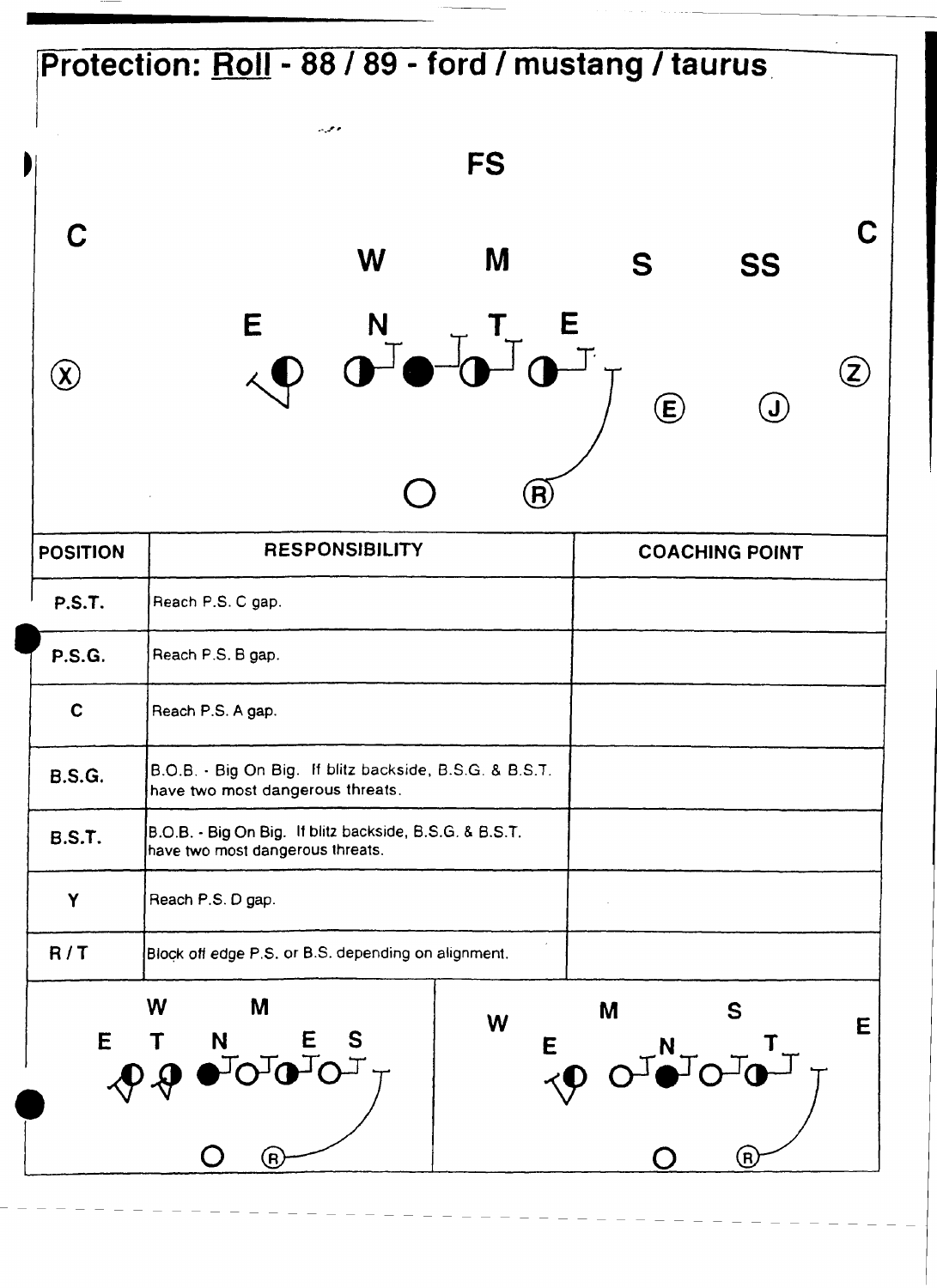|                            | Protection: Roll - 88 / 89 - ford / mustang / taurus                                                                                                 |                               |             |                                                             |                           |
|----------------------------|------------------------------------------------------------------------------------------------------------------------------------------------------|-------------------------------|-------------|-------------------------------------------------------------|---------------------------|
| I                          | معرب<br><b>FS</b>                                                                                                                                    |                               |             |                                                             |                           |
| C                          | M<br>W                                                                                                                                               |                               | S           | <b>SS</b>                                                   |                           |
| $\left( \mathbf{X}\right)$ | E<br>$\frac{N}{L}$                                                                                                                                   |                               | $\bigoplus$ | $\bigcirc$                                                  | $\left(\mathsf{Z}\right)$ |
| <b>POSITION</b>            | <b>RESPONSIBILITY</b>                                                                                                                                | $\left( \mathsf{R}\right)$    |             | <b>COACHING POINT</b>                                       |                           |
| <b>P.S.T.</b>              | Reach P.S. C gap.                                                                                                                                    |                               |             |                                                             |                           |
| <b>P.S.G.</b>              | Reach P.S. B gap.                                                                                                                                    |                               |             |                                                             |                           |
| $\mathbf c$                | Reach P.S. A gap.                                                                                                                                    |                               |             |                                                             |                           |
| <b>B.S.G.</b>              | B.O.B. - Big On Big. If blitz backside, B.S.G. & B.S.T.<br>have two most dangerous threats.                                                          |                               |             |                                                             |                           |
| <b>B.S.T.</b>              | B.O.B. - Big On Big. If blitz backside, B.S.G. & B.S.T.<br>have two most dangerous threats.                                                          |                               |             |                                                             |                           |
| Y                          | Reach P.S. D gap.                                                                                                                                    |                               |             |                                                             |                           |
| R/T                        | Block off edge P.S. or B.S. depending on alignment.                                                                                                  |                               |             |                                                             |                           |
| E                          | W<br>M<br>W<br>$N$ $E$ $S$<br>$\overline{M}$ $\overline{M}$ $\overline{M}$ $\overline{T}$<br>$\sim$ $\sim$ $\sim$ $\sim$ $\sim$<br>$\left( 6\right)$ | $\epsilon$<br>$\triangleleft$ | M           | S<br>$\overline{\phantom{a}}$<br>$\left( \mathsf{B}\right)$ | E                         |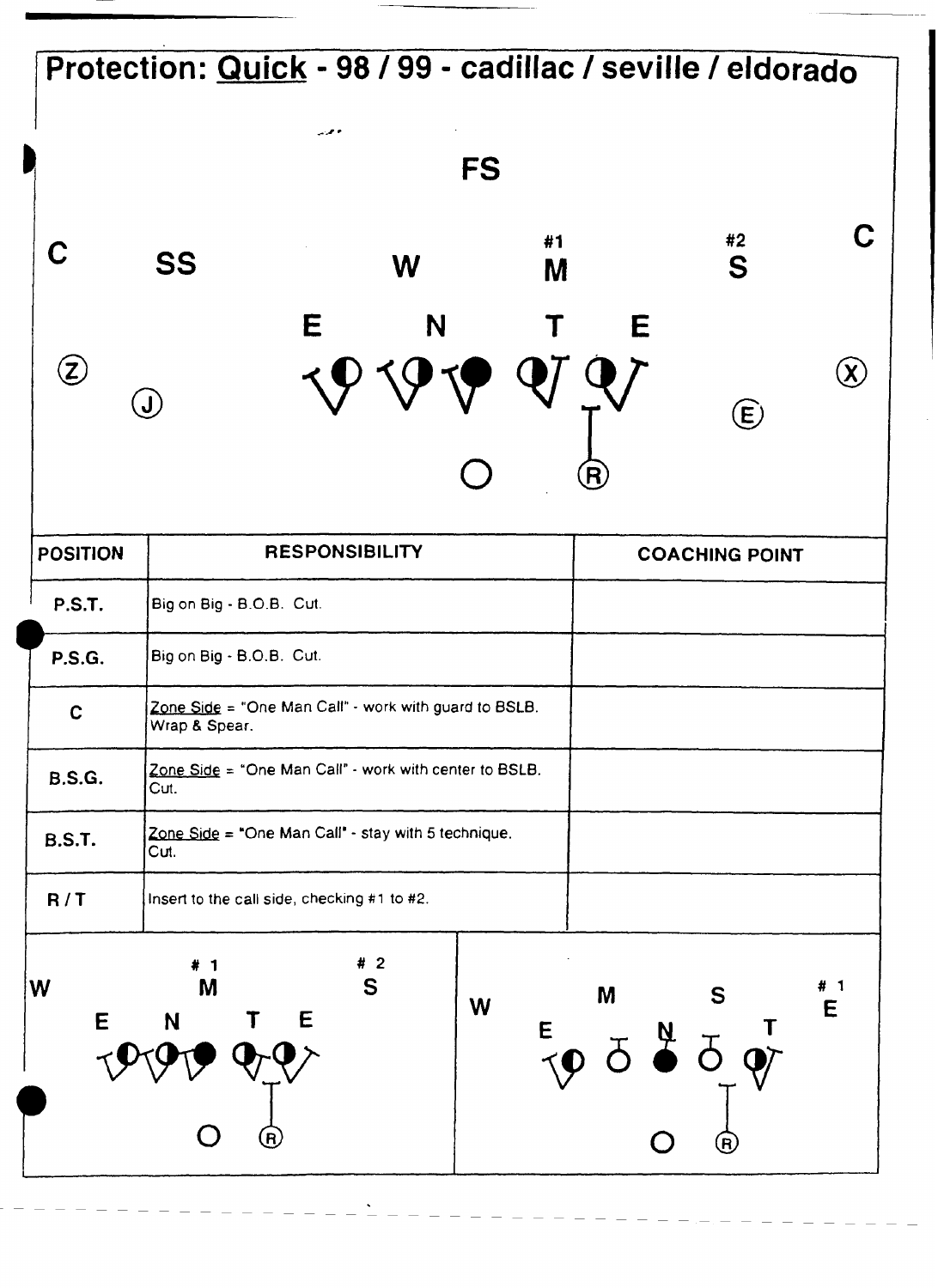### **Protection: Quick** - **98 199** - **cadillac** / **seville** / **eldorado**  وحرير **FS L**   $#2$ #1 C **SS** S W M E N E  $\circled{z}$  $\mathbf{Q}$  $\left(\lambda\right)$  $\left(\textbf{J}\right)$  $\bigoplus$ -- **POSITION**<br>
P.S.T. Big on Big<br>
P.S.G. Big on Big<br>
C<br>
C<br>
Migan B S **RESPONSIBILITY COACHING POINT POSITION**<br>———————— **P.S.T. Big on Big** - **0.0.0. Cut. Big on Big** - **8.0.0. Cut. Zone Side** = **"One Man Call"** - **work with guard to BSLB. Wap 8 Spear. Zone Side** = "One Man Call" - work with center to BSLB.<br>Cut. **B.S.G. Zone Side = "One Man Call" - stay with 5 technique. B.S.T. 2ut.**   $R/T$ **nsen to the call side, checking** #I **to #2.**  $#2$ # 1 W M S  $# 1$ M S W E E Е N  $\overline{F}$   $\overline{O}$   $\overline{O}$   $\overline{O}$   $\overline{O}$   $\overline{O}$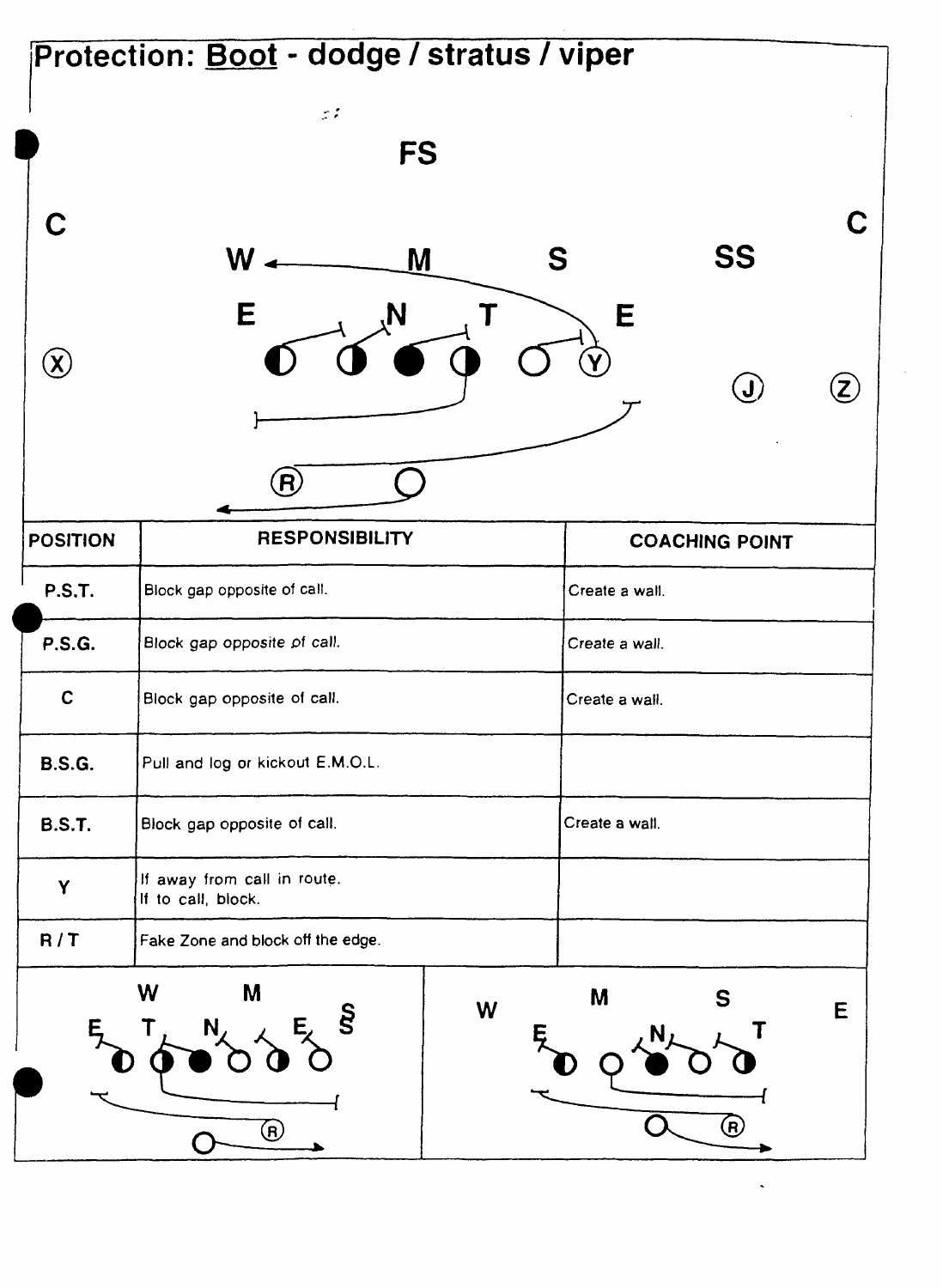|                               | $\mathcal{Z}$ $\mathcal{Z}$<br><b>FS</b>          |                       |                                             |
|-------------------------------|---------------------------------------------------|-----------------------|---------------------------------------------|
| C                             |                                                   |                       | C                                           |
|                               | $W$ .<br>M<br>E<br>N                              | SS<br>S<br>E          |                                             |
| $\left( \mathbf{\chi}\right)$ |                                                   |                       | $(\mathsf{Z})$<br>$\left(\mathbf{J}\right)$ |
|                               | R)                                                |                       |                                             |
| <b>POSITION</b>               | <b>RESPONSIBILITY</b>                             | <b>COACHING POINT</b> |                                             |
| <b>P.S.T.</b>                 | Block gap opposite of call.                       | Create a wall.        |                                             |
| <b>P.S.G.</b>                 | Block gap opposite of call.                       | Create a wall.        |                                             |
| $\mathbf C$                   | Block gap opposite of call.                       | Create a wall.        |                                             |
| <b>B.S.G.</b>                 | Pull and log or kickout E.M.O.L.                  |                       |                                             |
| <b>B.S.T.</b>                 | Block gap opposite of call.                       | Create a wall.        |                                             |
| Y                             | If away from call in route.<br>If to call, block. |                       |                                             |
| R/T                           | Fake Zone and block off the edge.                 |                       |                                             |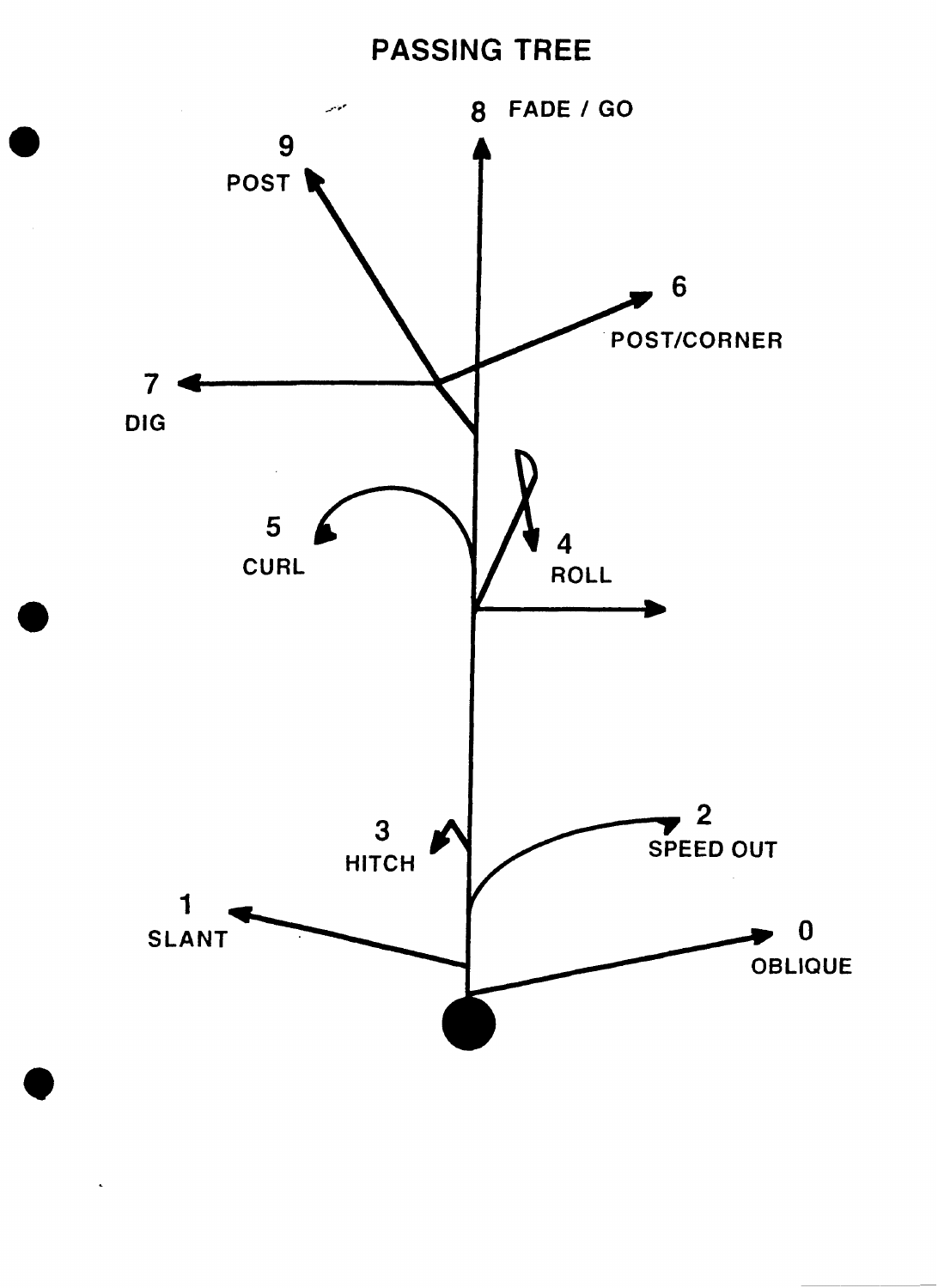### **PASSING TREE**

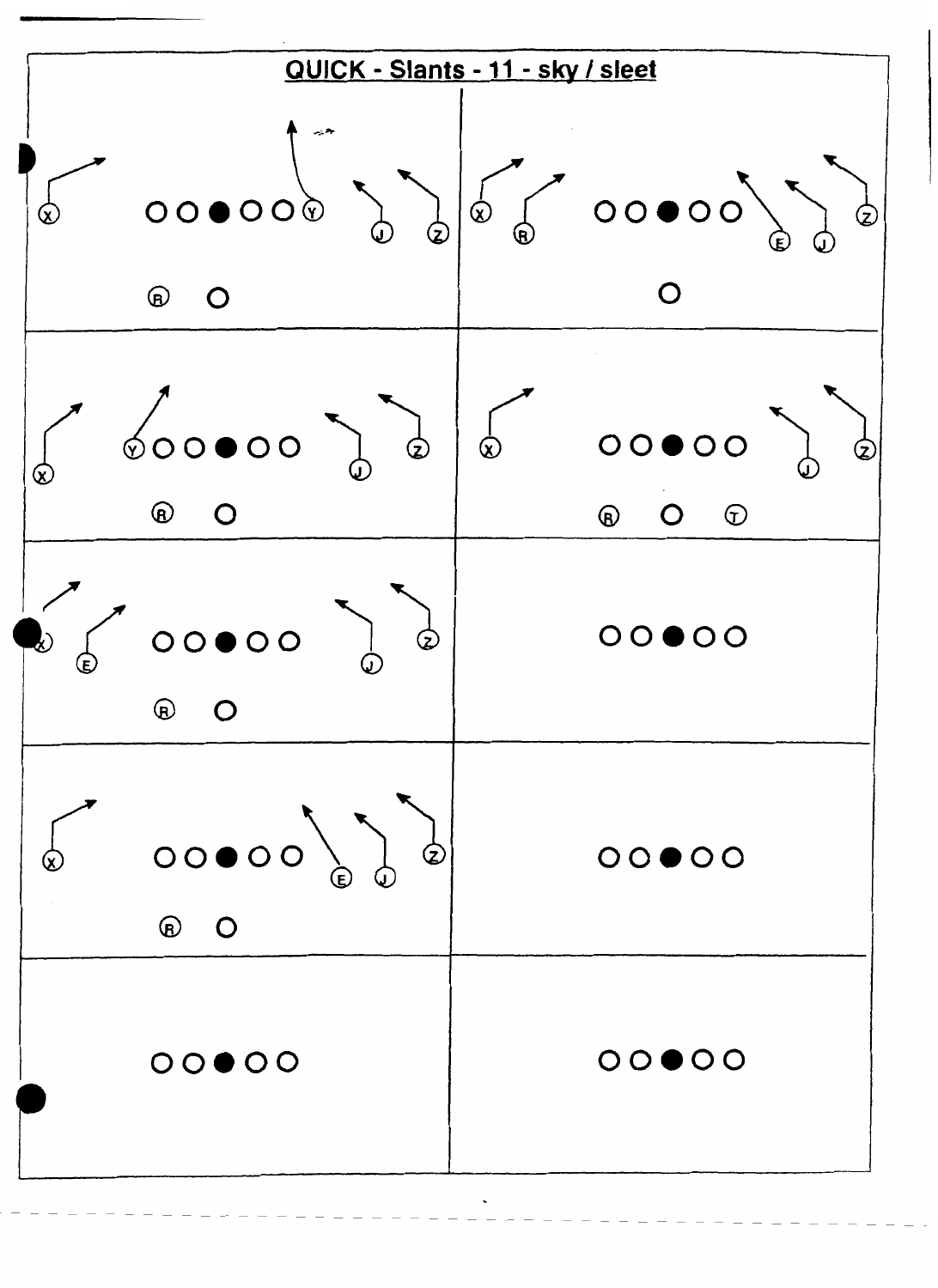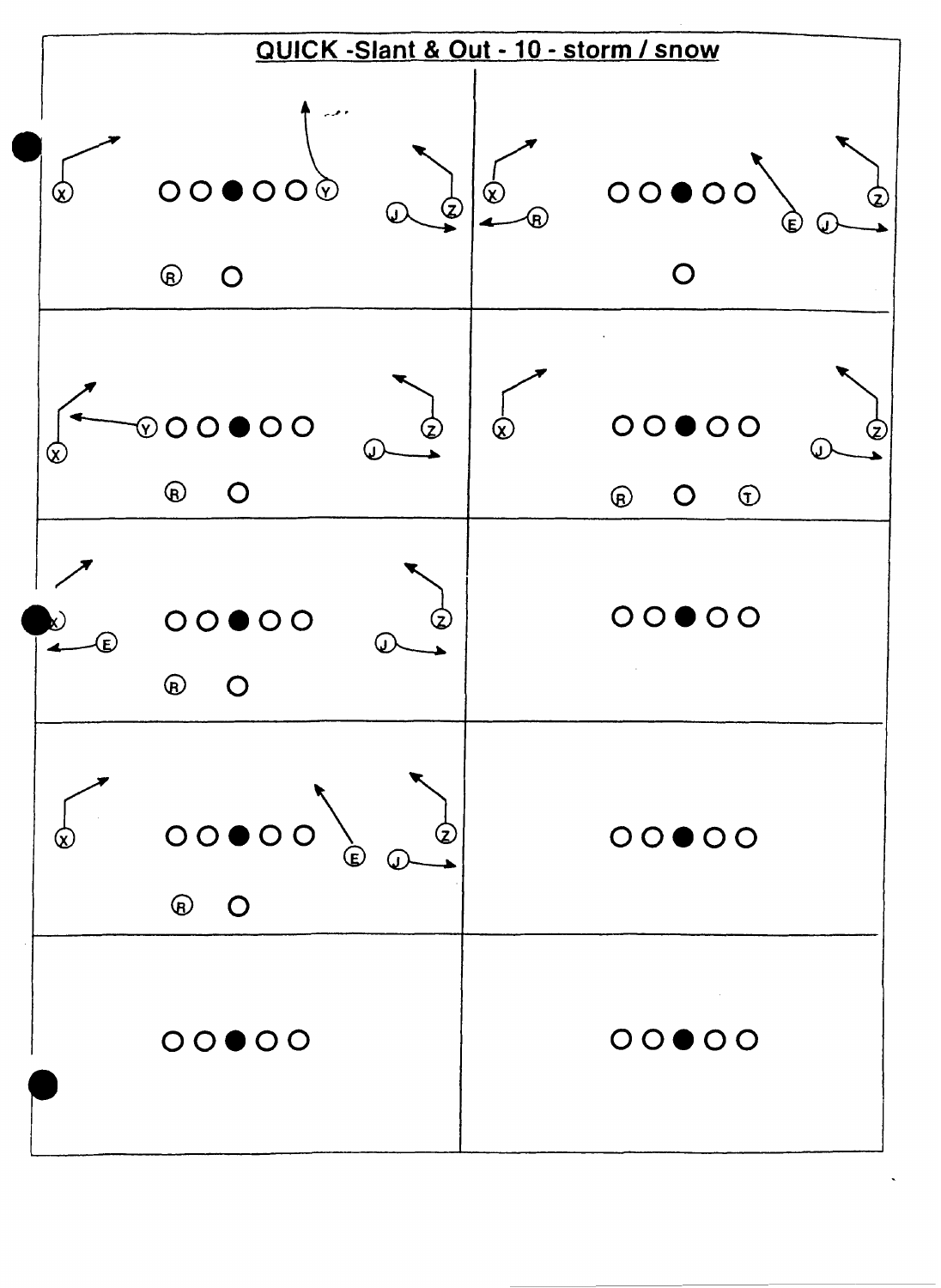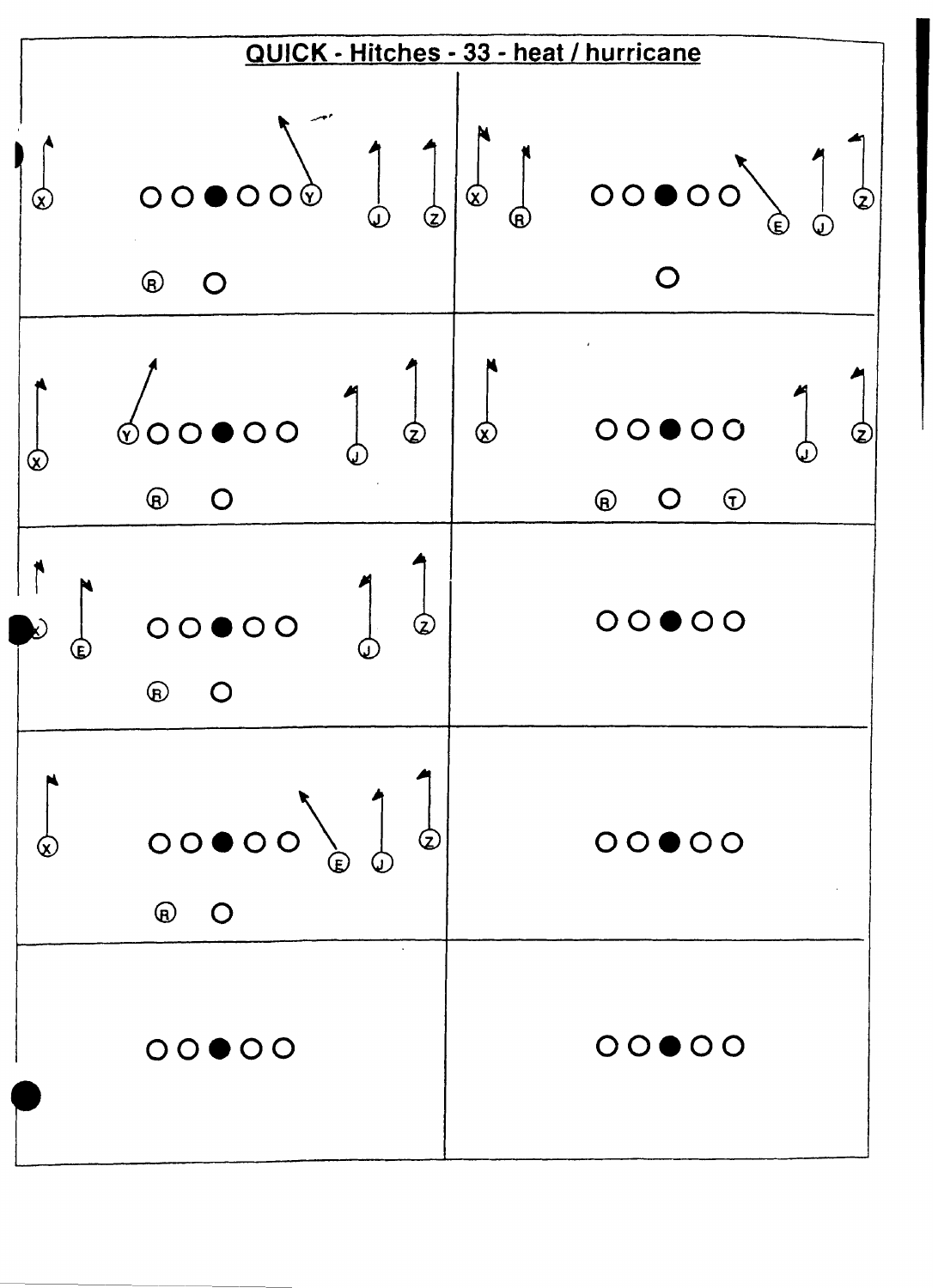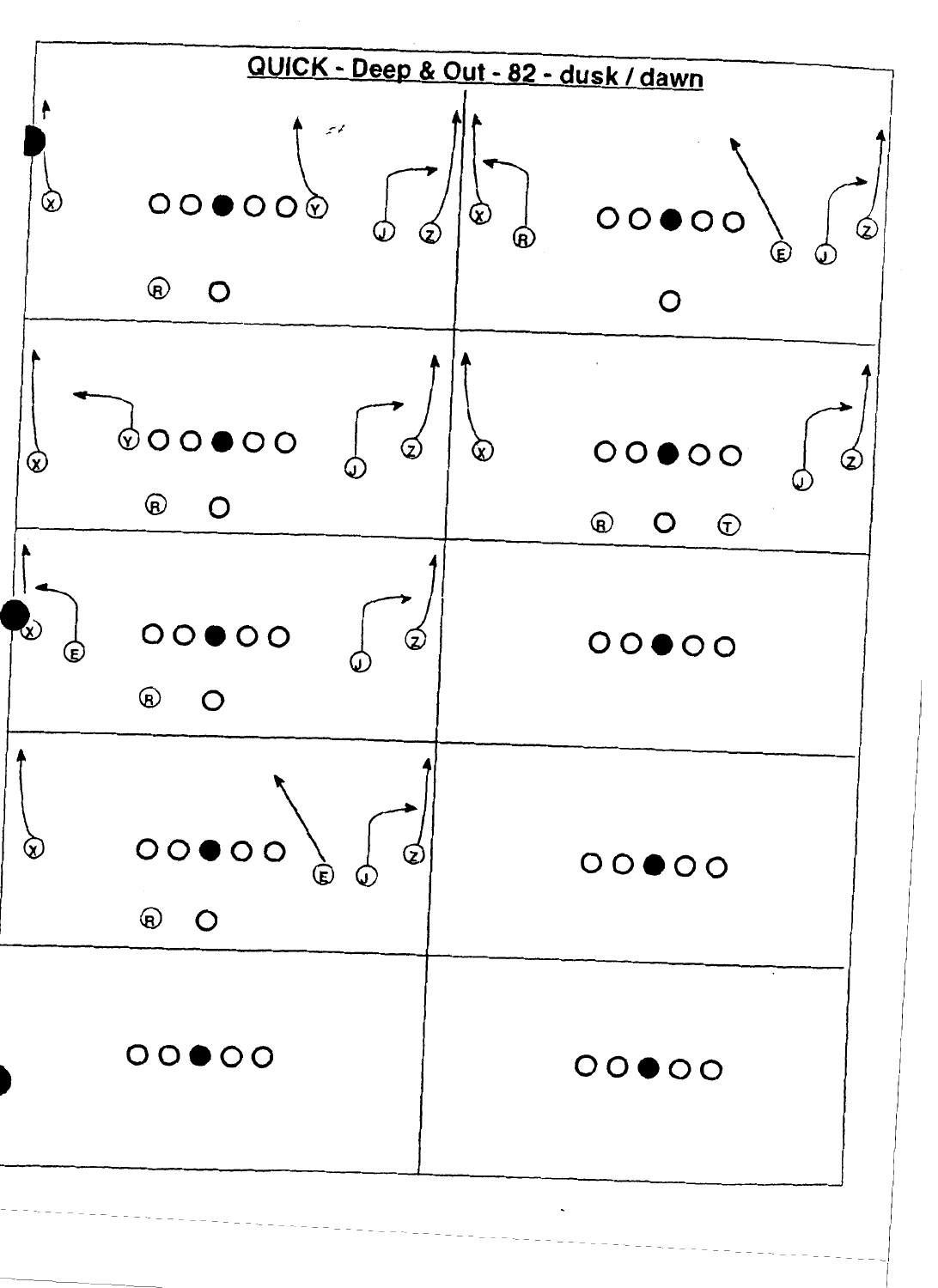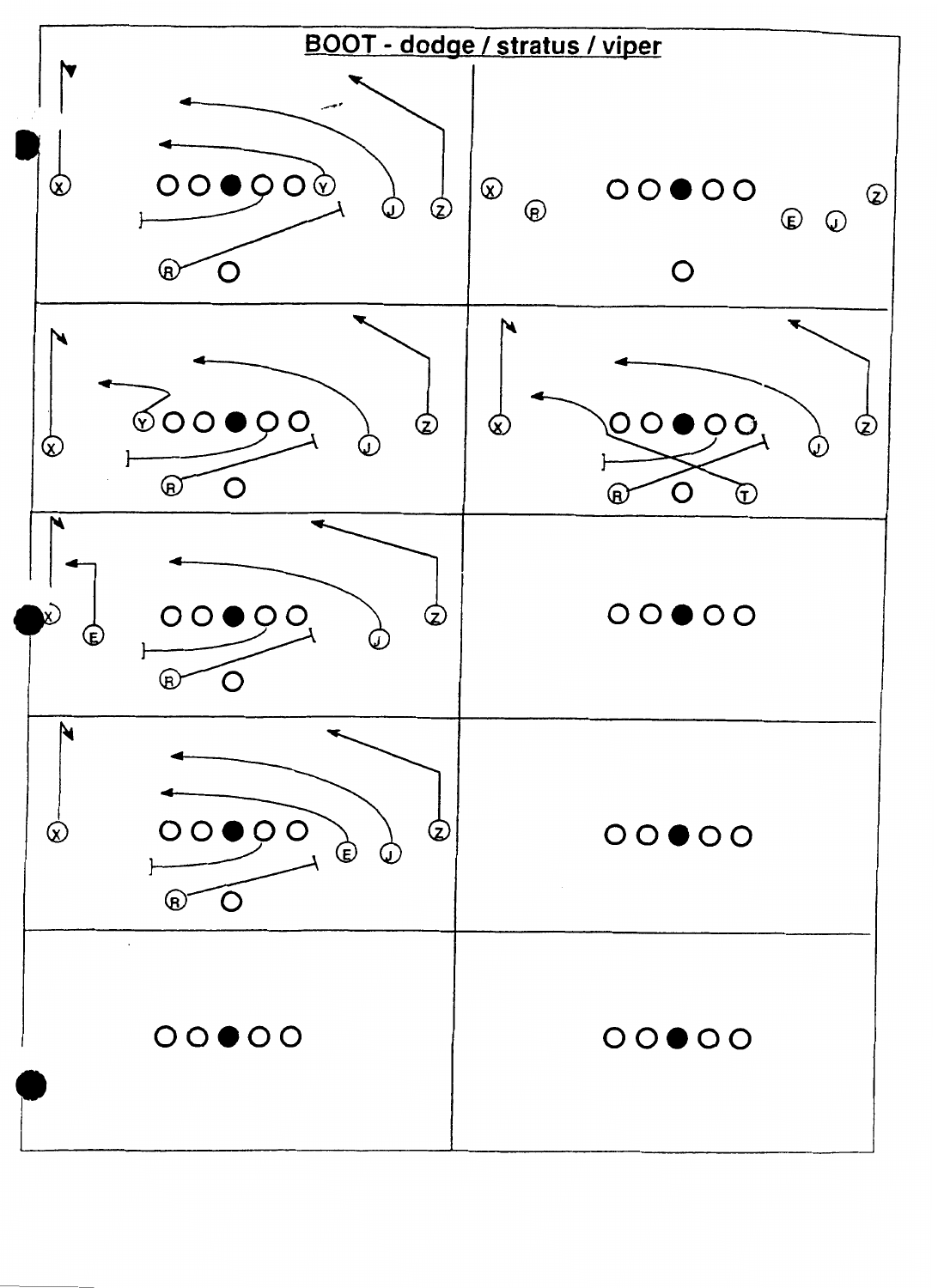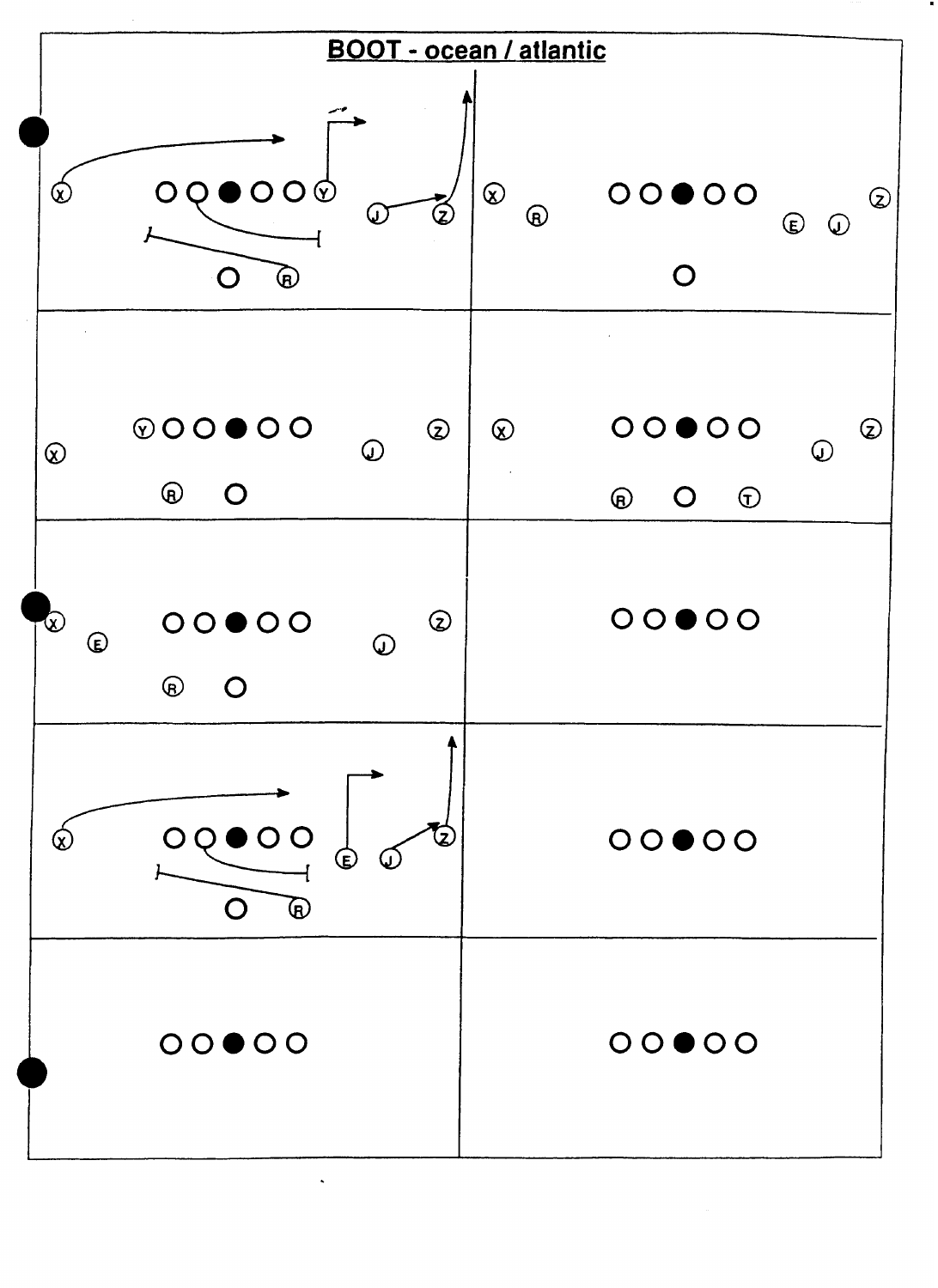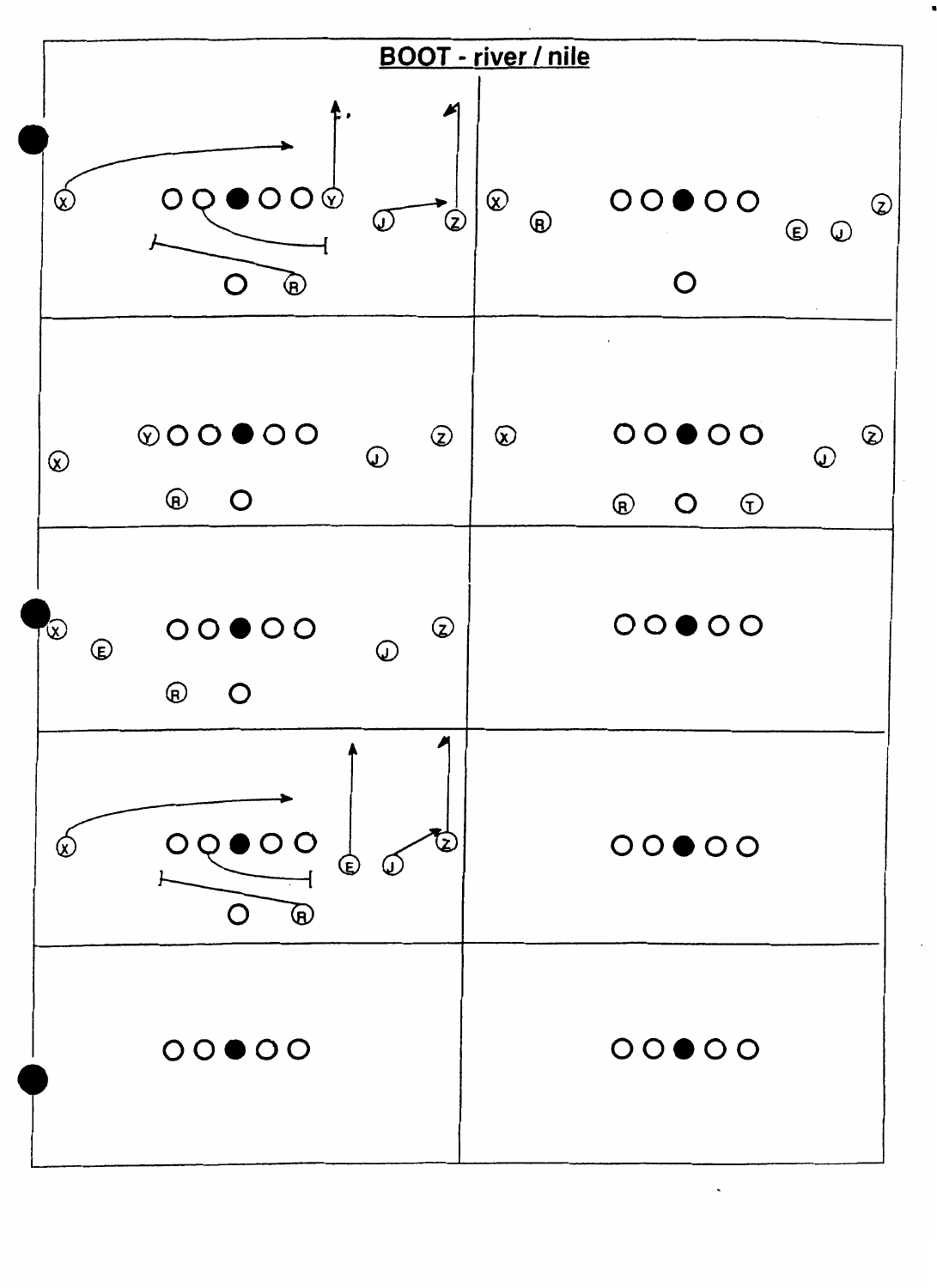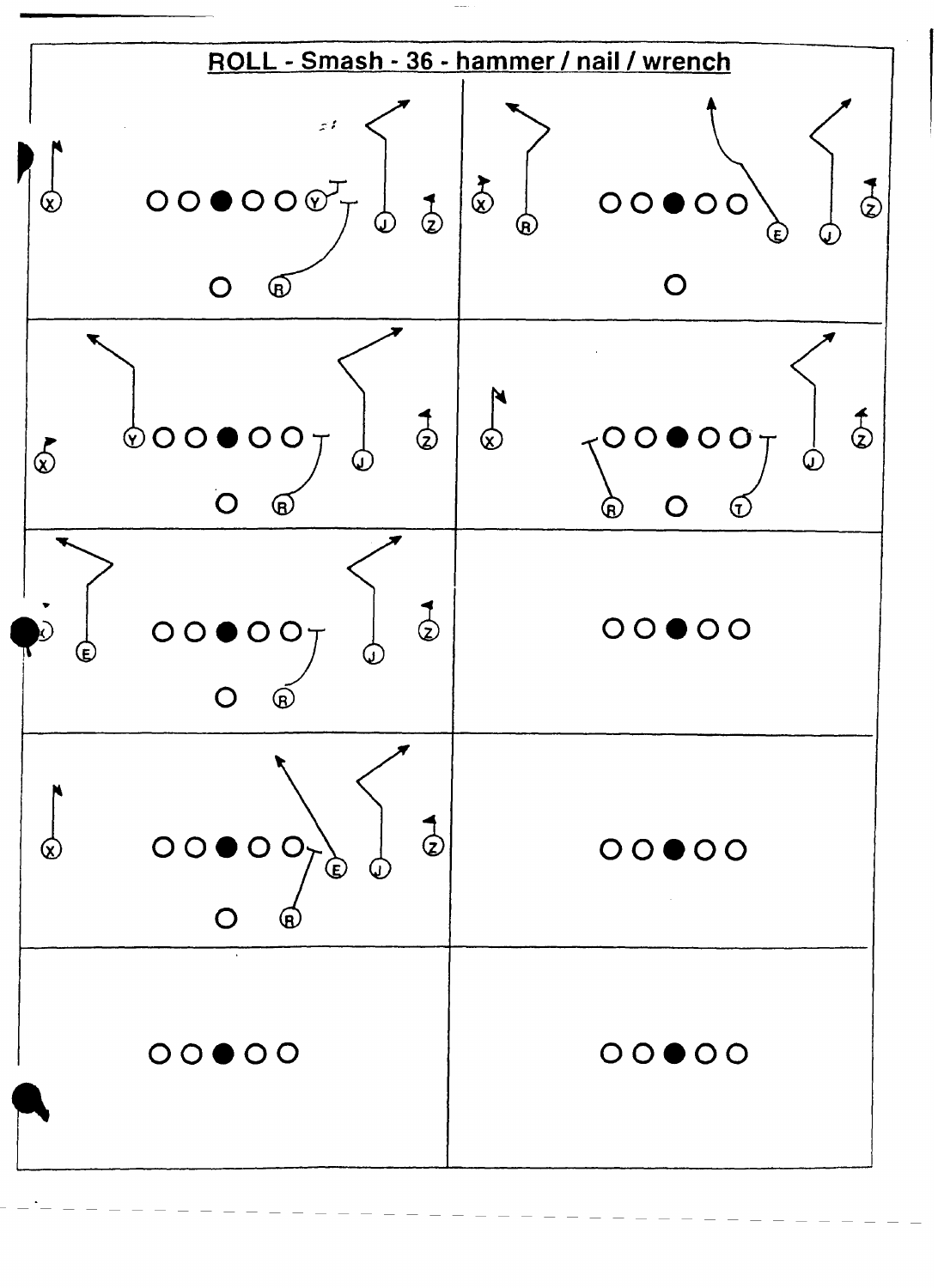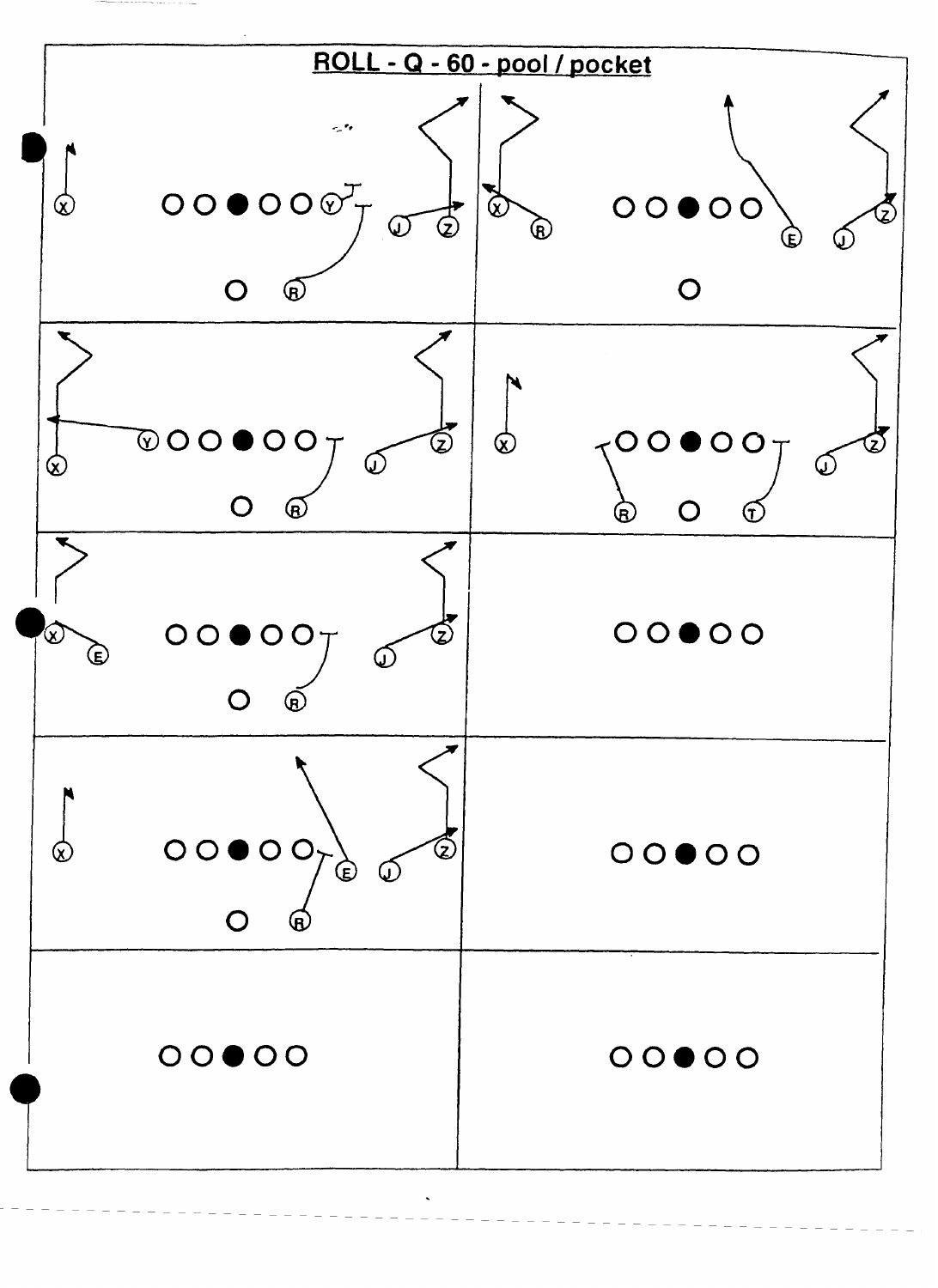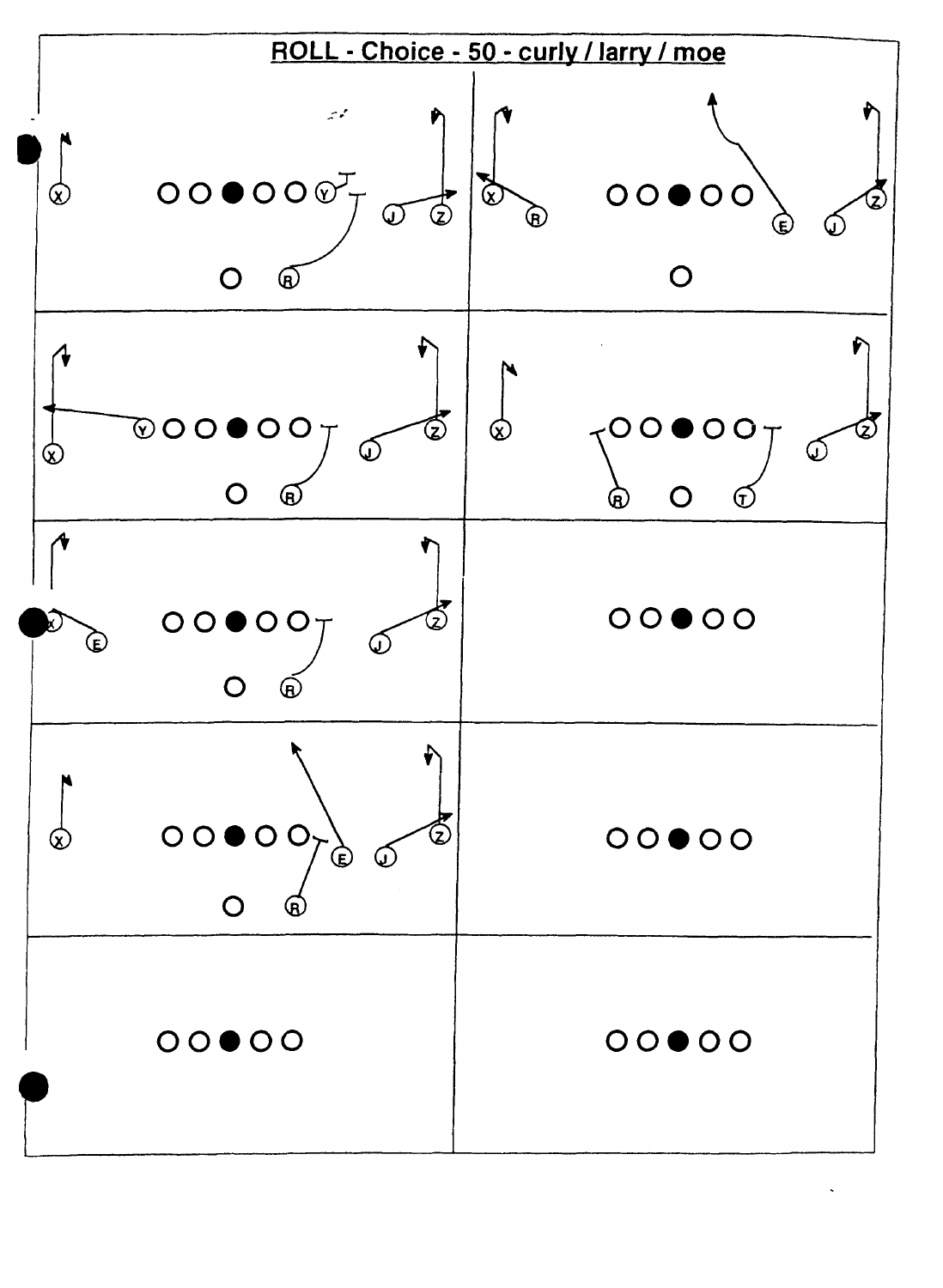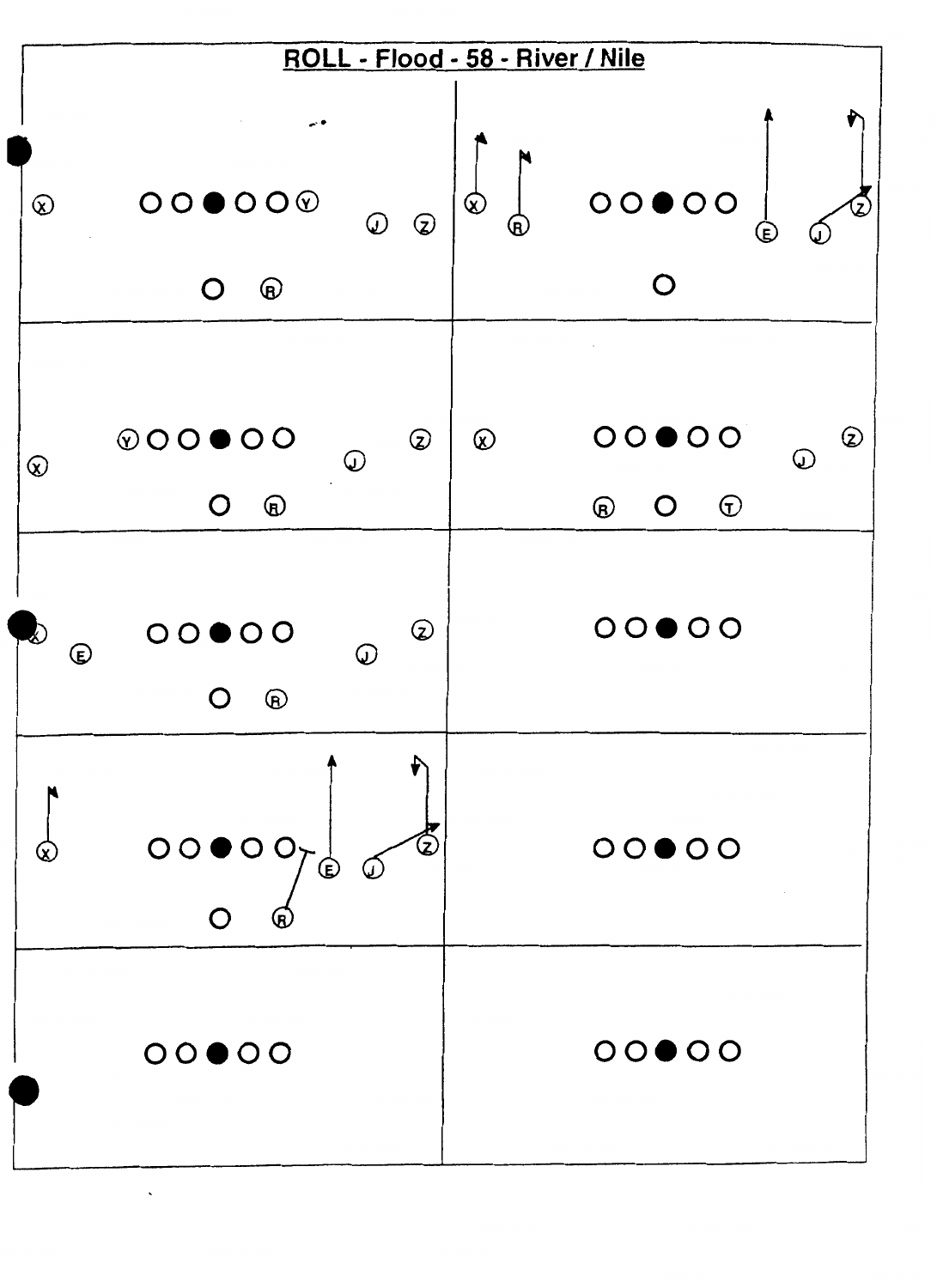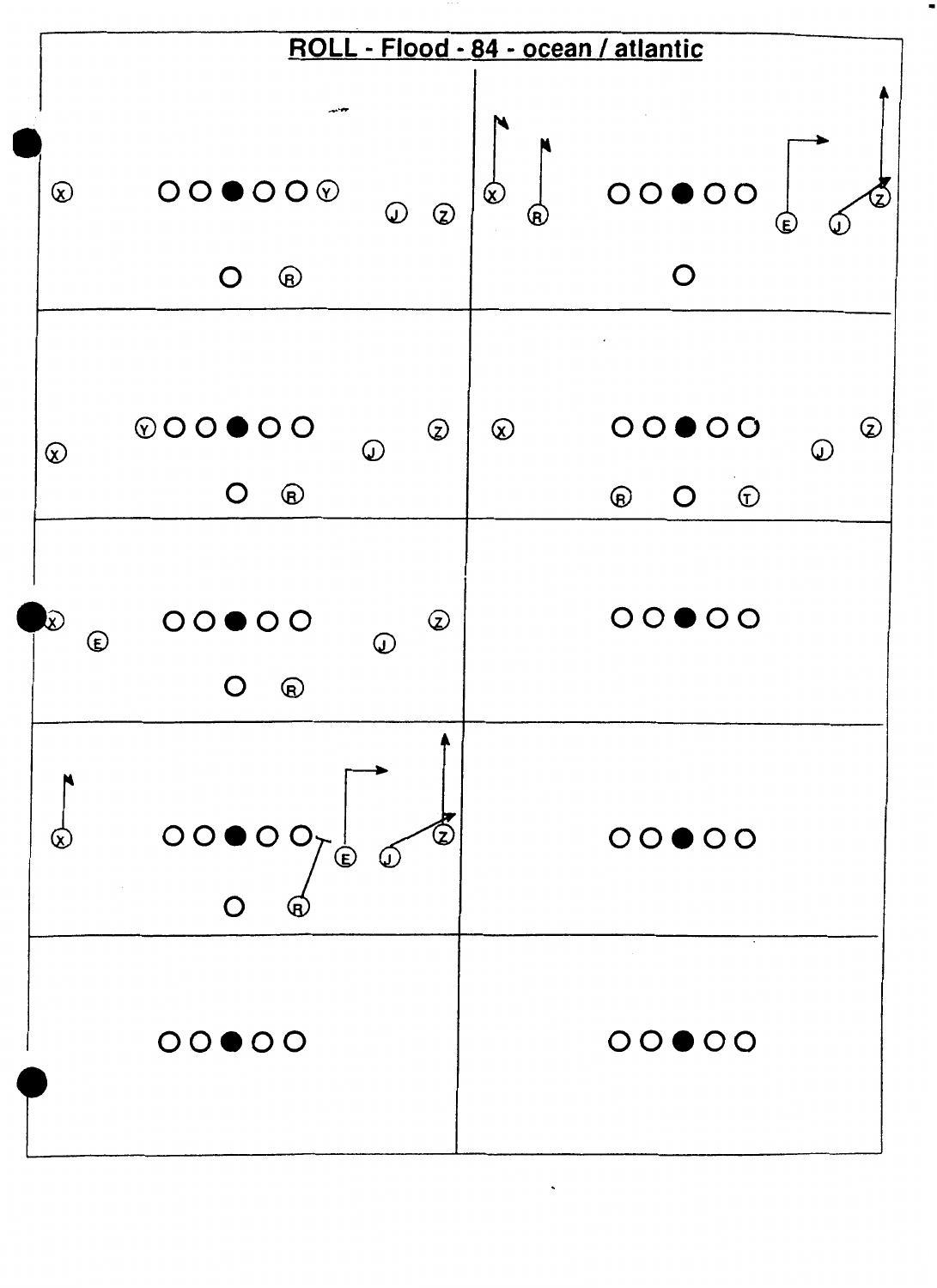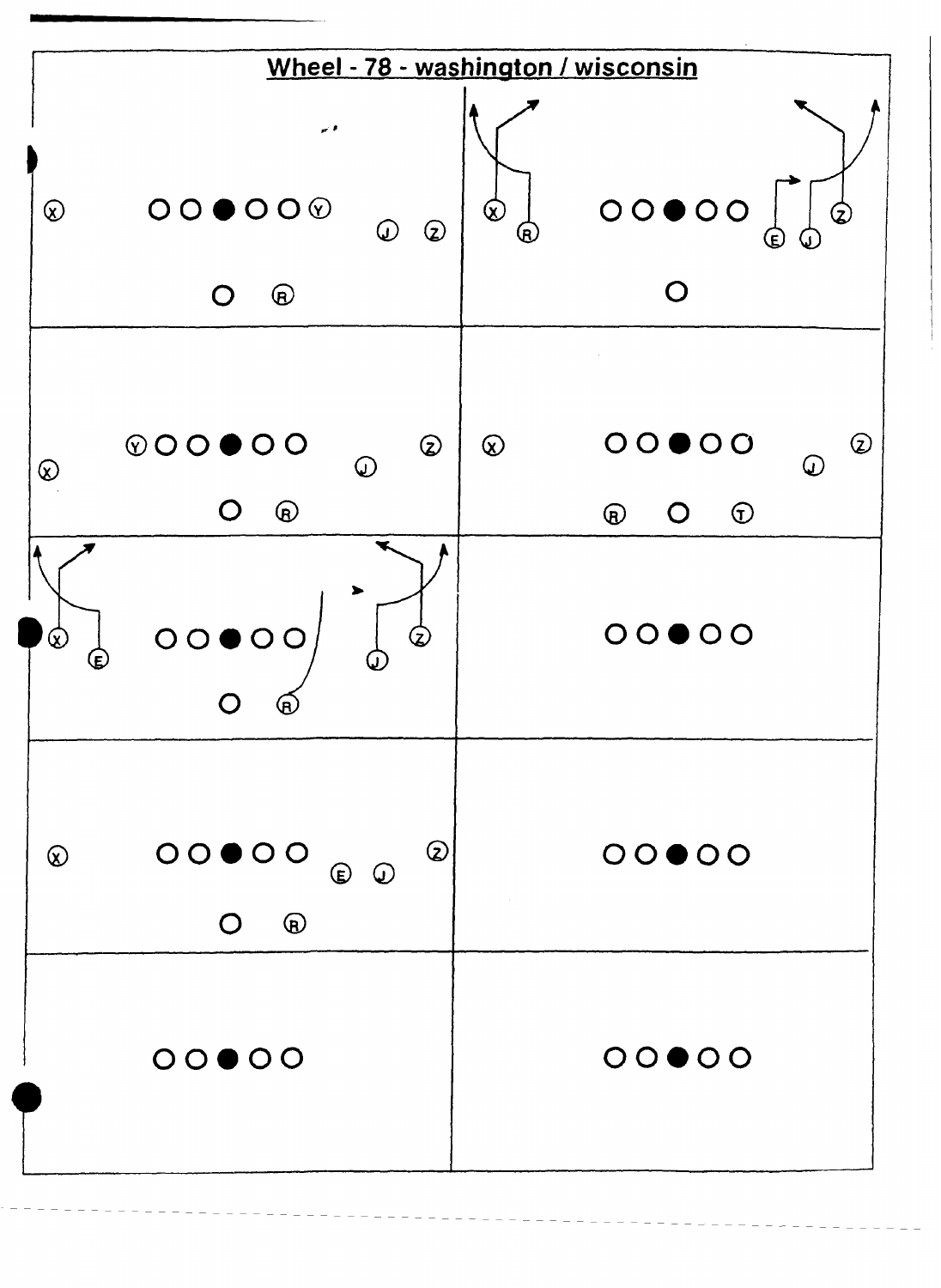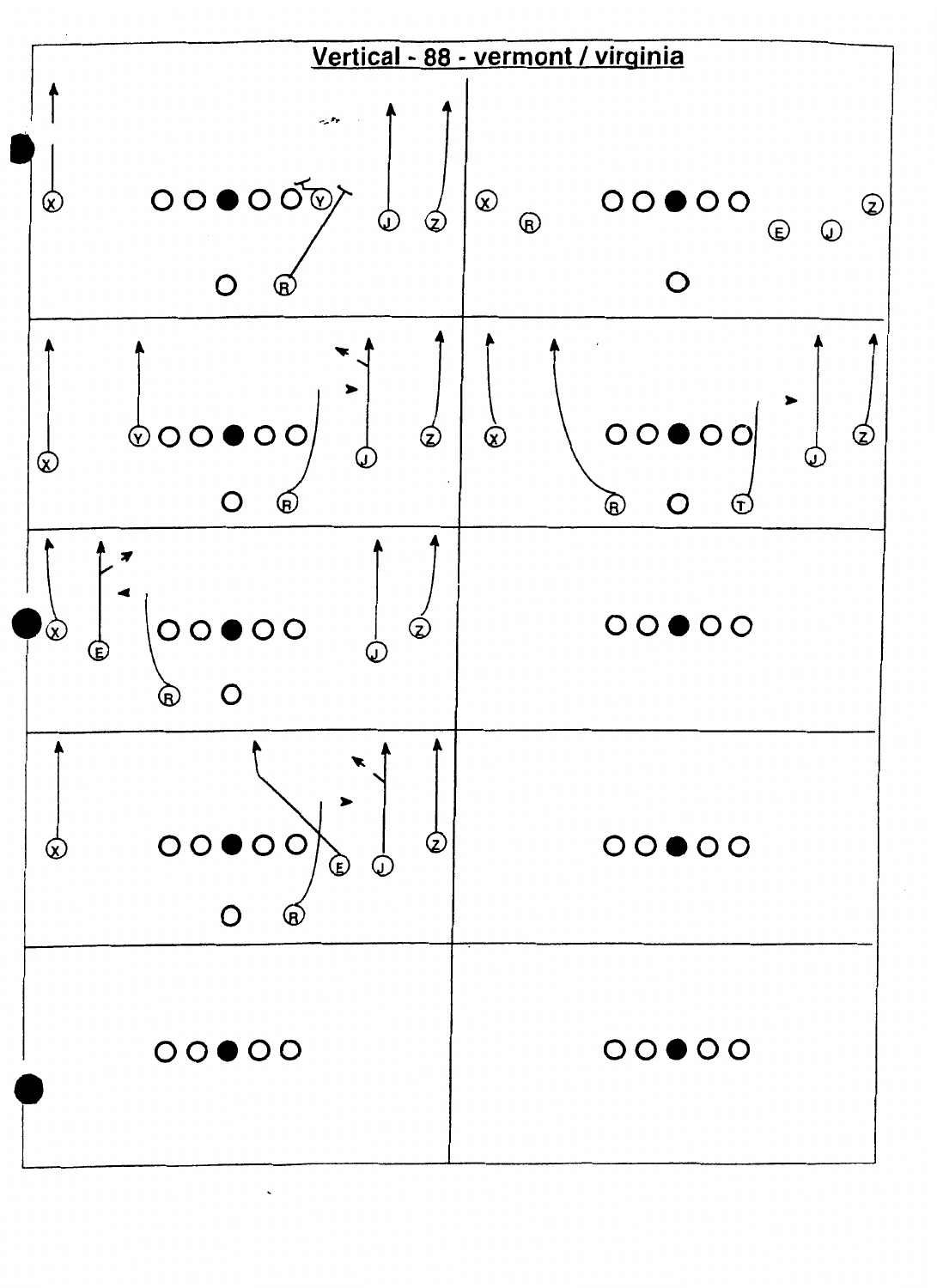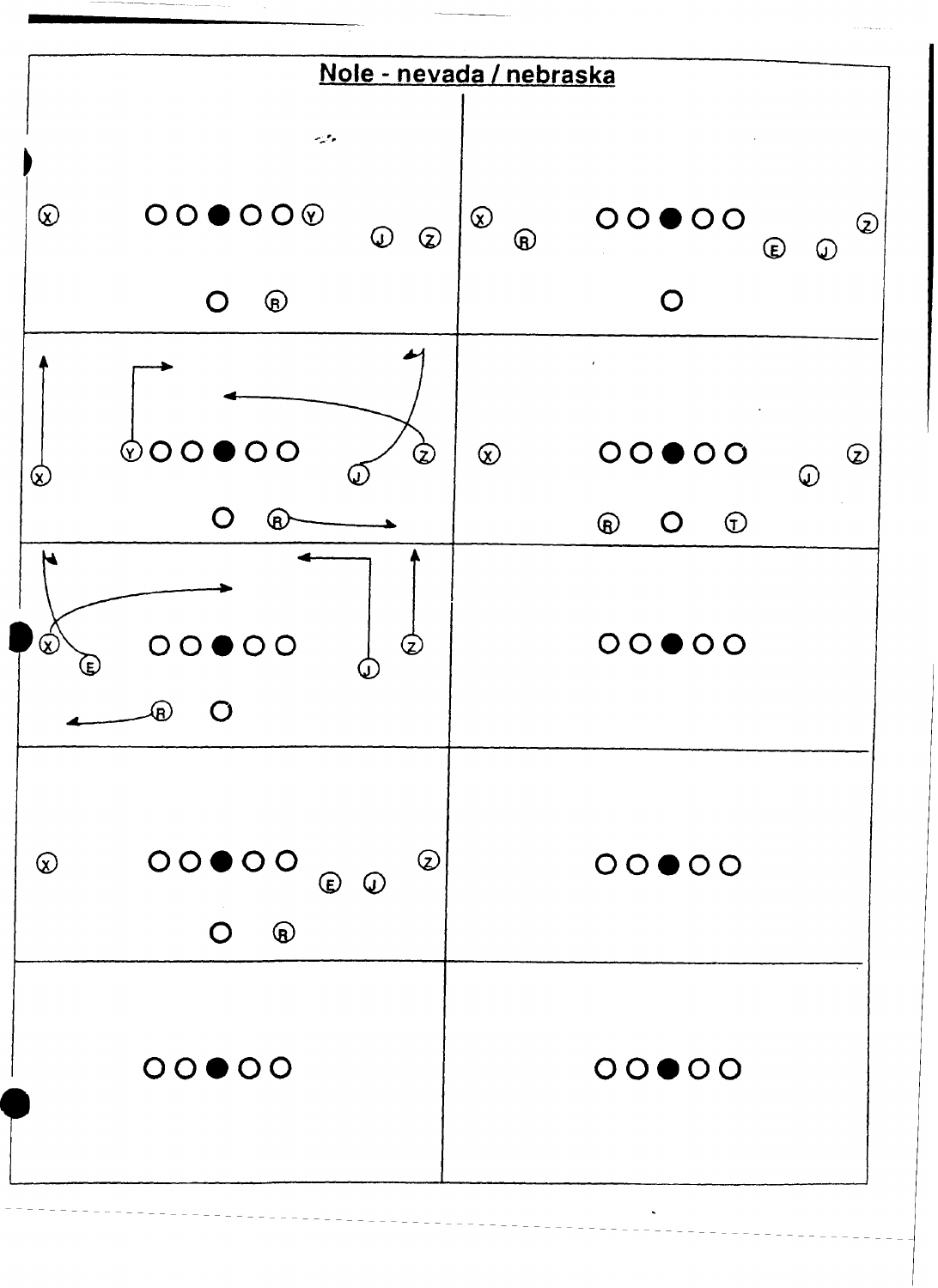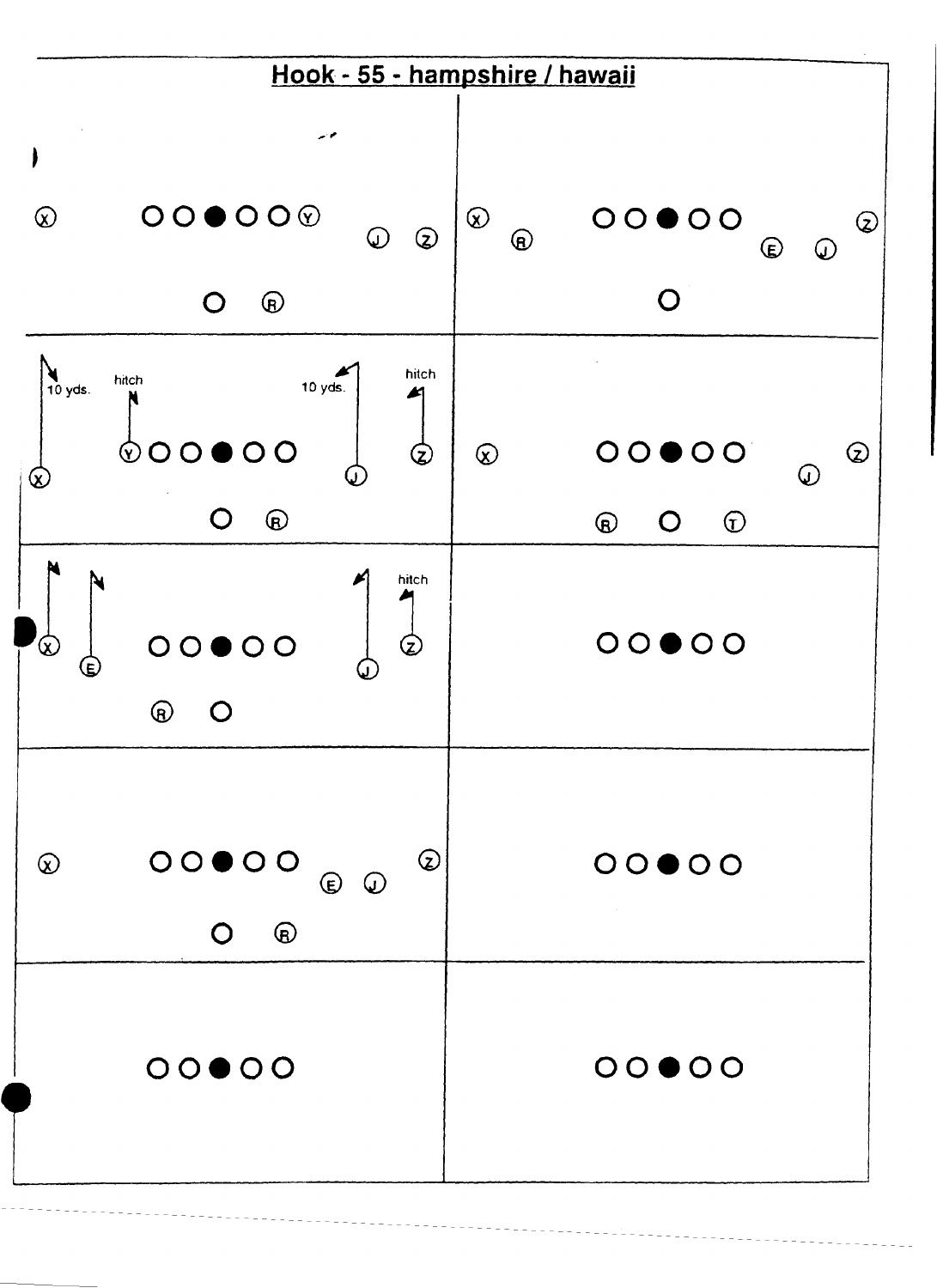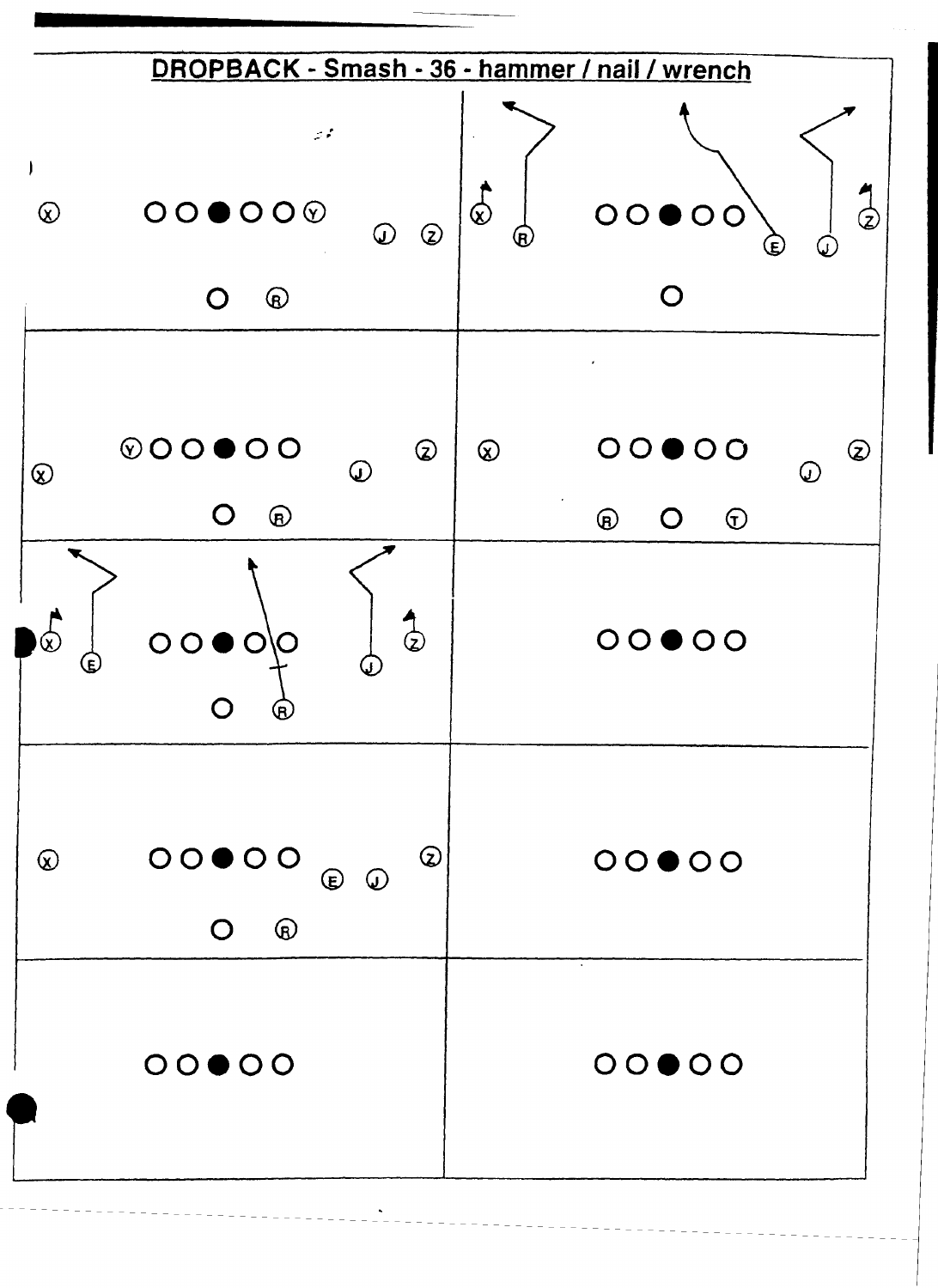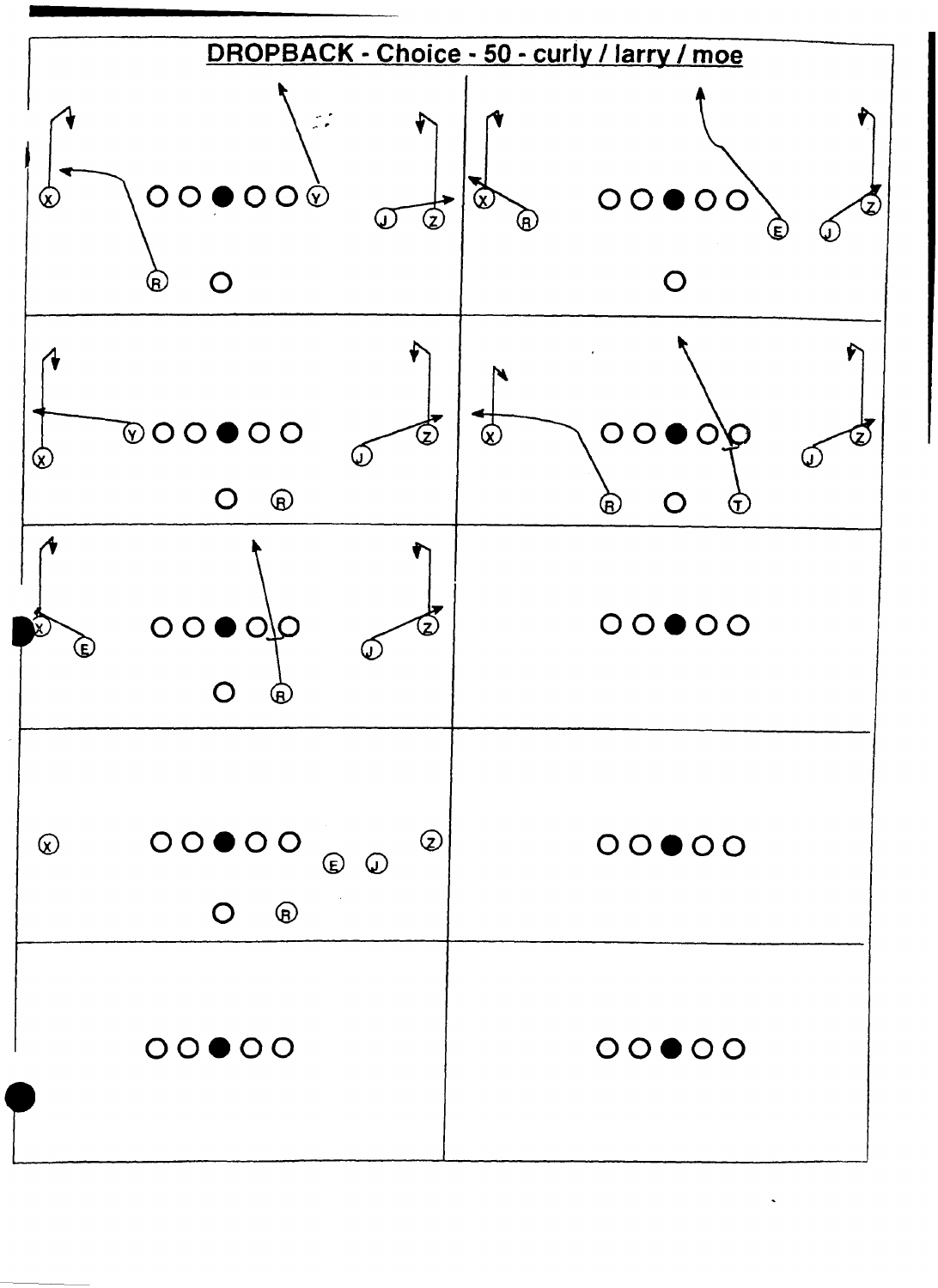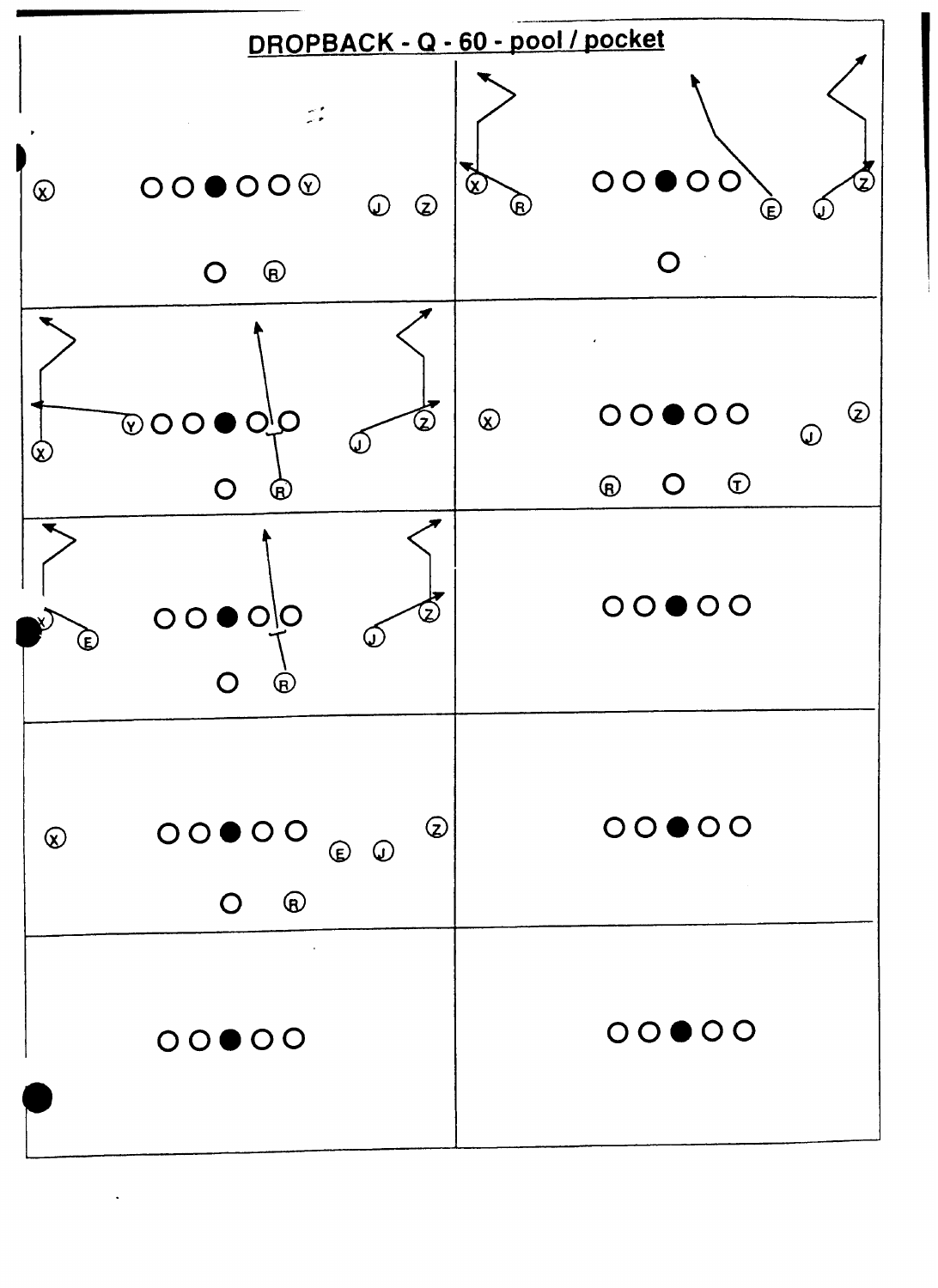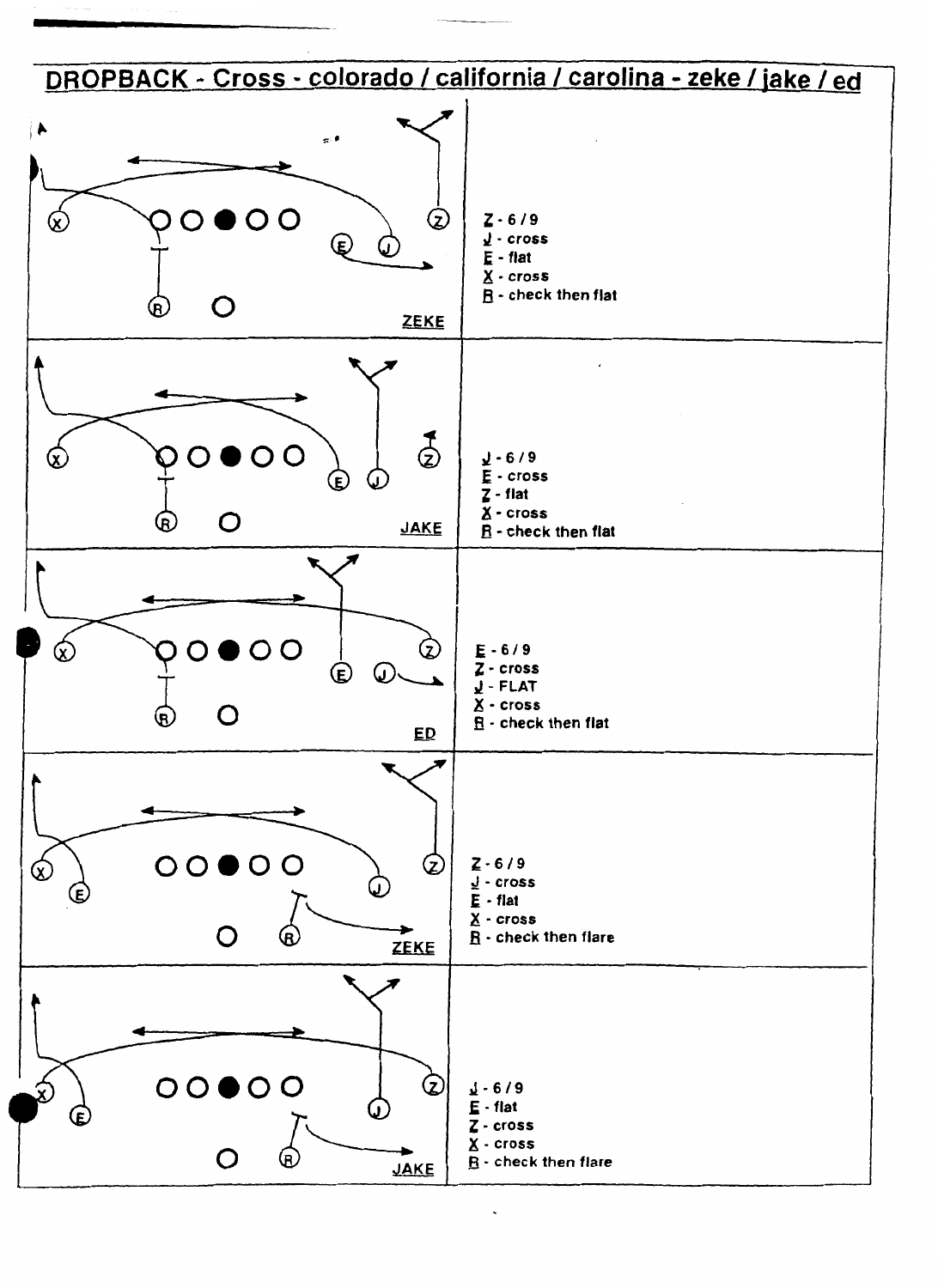